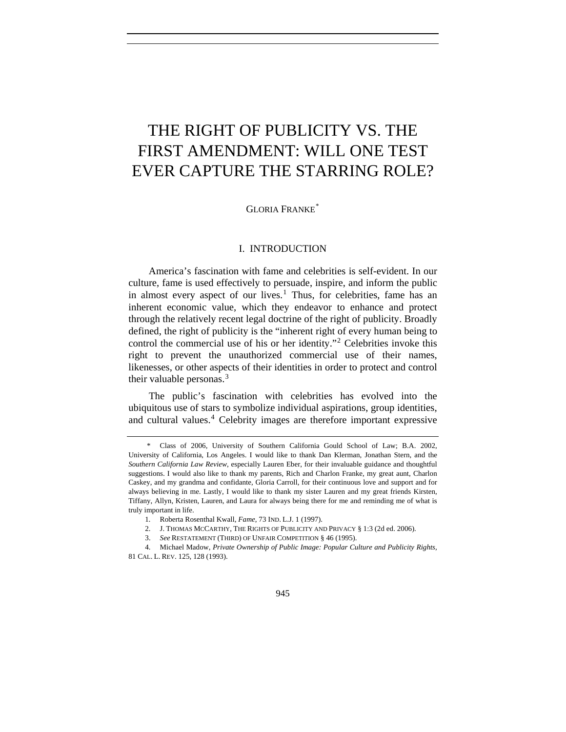# THE RIGHT OF PUBLICITY VS. THE FIRST AMENDMENT: WILL ONE TEST EVER CAPTURE THE STARRING ROLE?

GLORIA FRANKE<sup>[\\*](#page-0-0)</sup>

## I. INTRODUCTION

America's fascination with fame and celebrities is self-evident. In our culture, fame is used effectively to persuade, inspire, and inform the public in almost every aspect of our lives.<sup>[1](#page-0-1)</sup> Thus, for celebrities, fame has an inherent economic value, which they endeavor to enhance and protect through the relatively recent legal doctrine of the right of publicity. Broadly defined, the right of publicity is the "inherent right of every human being to control the commercial use of his or her identity."[2](#page-0-2) Celebrities invoke this right to prevent the unauthorized commercial use of their names, likenesses, or other aspects of their identities in order to protect and control their valuable personas.<sup>[3](#page-0-3)</sup>

The public's fascination with celebrities has evolved into the ubiquitous use of stars to symbolize individual aspirations, group identities, and cultural values.<sup>[4](#page-0-4)</sup> Celebrity images are therefore important expressive

<span id="page-0-0"></span> <sup>\*</sup> Class of 2006, University of Southern California Gould School of Law; B.A. 2002, University of California, Los Angeles. I would like to thank Dan Klerman, Jonathan Stern, and the *Southern California Law Review*, especially Lauren Eber, for their invaluable guidance and thoughtful suggestions. I would also like to thank my parents, Rich and Charlon Franke, my great aunt, Charlon Caskey, and my grandma and confidante, Gloria Carroll, for their continuous love and support and for always believing in me. Lastly, I would like to thank my sister Lauren and my great friends Kirsten, Tiffany, Allyn, Kristen, Lauren, and Laura for always being there for me and reminding me of what is truly important in life.

<sup>1</sup>*.* Roberta Rosenthal Kwall, *Fame*, 73 IND. L.J. 1 (1997).

 <sup>2.</sup> J. THOMAS MCCARTHY, THE RIGHTS OF PUBLICITY AND PRIVACY § 1:3 (2d ed. 2006).

 <sup>3.</sup> *See* RESTATEMENT (THIRD) OF UNFAIR COMPETITION § 46 (1995).

<span id="page-0-4"></span><span id="page-0-3"></span><span id="page-0-2"></span><span id="page-0-1"></span> <sup>4.</sup> Michael Madow, *Private Ownership of Public Image: Popular Culture and Publicity Rights*, 81 CAL. L. REV. 125, 128 (1993).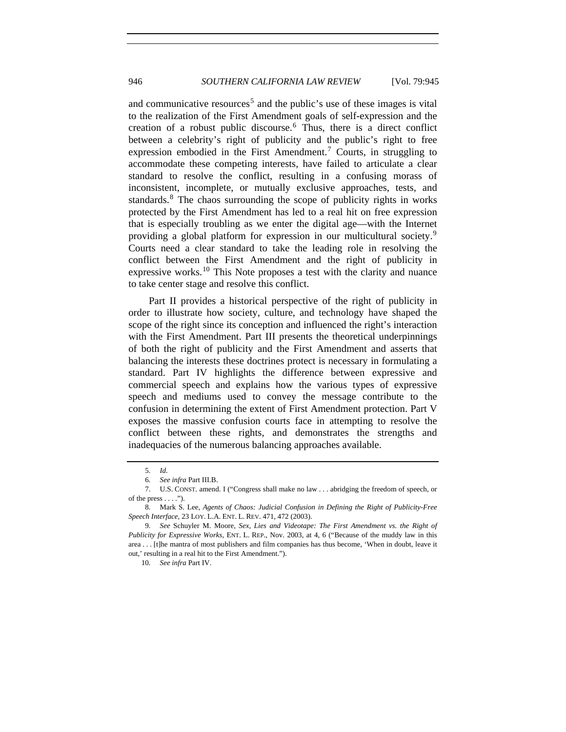and communicative resources<sup>[5](#page-1-0)</sup> and the public's use of these images is vital to the realization of the First Amendment goals of self-expression and the creation of a robust public discourse.[6](#page-1-1) Thus, there is a direct conflict between a celebrity's right of publicity and the public's right to free expression embodied in the First Amendment.<sup>[7](#page-1-2)</sup> Courts, in struggling to accommodate these competing interests, have failed to articulate a clear standard to resolve the conflict, resulting in a confusing morass of inconsistent, incomplete, or mutually exclusive approaches, tests, and standards.[8](#page-1-3) The chaos surrounding the scope of publicity rights in works protected by the First Amendment has led to a real hit on free expression that is especially troubling as we enter the digital age—with the Internet providing a global platform for expression in our multicultural society.[9](#page-1-4) Courts need a clear standard to take the leading role in resolving the conflict between the First Amendment and the right of publicity in expressive works.<sup>[10](#page-1-5)</sup> This Note proposes a test with the clarity and nuance to take center stage and resolve this conflict.

Part II provides a historical perspective of the right of publicity in order to illustrate how society, culture, and technology have shaped the scope of the right since its conception and influenced the right's interaction with the First Amendment. Part III presents the theoretical underpinnings of both the right of publicity and the First Amendment and asserts that balancing the interests these doctrines protect is necessary in formulating a standard. Part IV highlights the difference between expressive and commercial speech and explains how the various types of expressive speech and mediums used to convey the message contribute to the confusion in determining the extent of First Amendment protection. Part V exposes the massive confusion courts face in attempting to resolve the conflict between these rights, and demonstrates the strengths and inadequacies of the numerous balancing approaches available.

10*. See infra* Part IV.

<sup>5</sup>*. Id.*

<sup>6</sup>*. See infra* Part III.B.

<span id="page-1-2"></span><span id="page-1-1"></span><span id="page-1-0"></span> <sup>7.</sup> U.S. CONST. amend. I ("Congress shall make no law . . . abridging the freedom of speech, or of the press  $\dots$ .").

<span id="page-1-3"></span><sup>8</sup>*.* Mark S. Lee, *Agents of Chaos: Judicial Confusion in Defining the Right of Publicity-Free Speech Interface*, 23 LOY. L.A. ENT. L. REV. 471, 472 (2003).

<span id="page-1-5"></span><span id="page-1-4"></span><sup>9</sup>*. See* Schuyler M. Moore, *Sex, Lies and Videotape: The First Amendment vs. the Right of Publicity for Expressive Works*, ENT. L. REP., Nov. 2003, at 4, 6 ("Because of the muddy law in this area . . . [t]he mantra of most publishers and film companies has thus become, 'When in doubt, leave it out,' resulting in a real hit to the First Amendment.").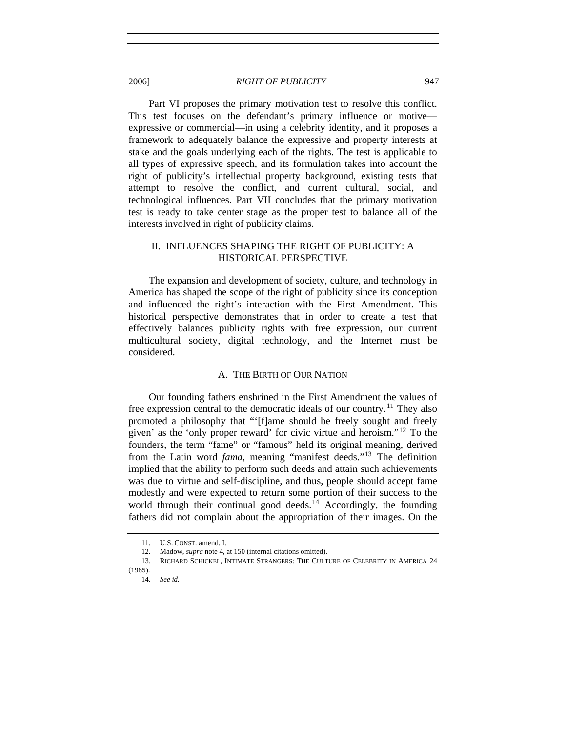Part VI proposes the primary motivation test to resolve this conflict. This test focuses on the defendant's primary influence or motive expressive or commercial—in using a celebrity identity, and it proposes a framework to adequately balance the expressive and property interests at stake and the goals underlying each of the rights. The test is applicable to all types of expressive speech, and its formulation takes into account the right of publicity's intellectual property background, existing tests that attempt to resolve the conflict, and current cultural, social, and technological influences. Part VII concludes that the primary motivation test is ready to take center stage as the proper test to balance all of the interests involved in right of publicity claims.

# II. INFLUENCES SHAPING THE RIGHT OF PUBLICITY: A HISTORICAL PERSPECTIVE

The expansion and development of society, culture, and technology in America has shaped the scope of the right of publicity since its conception and influenced the right's interaction with the First Amendment. This historical perspective demonstrates that in order to create a test that effectively balances publicity rights with free expression, our current multicultural society, digital technology, and the Internet must be considered.

## A. THE BIRTH OF OUR NATION

Our founding fathers enshrined in the First Amendment the values of free expression central to the democratic ideals of our country.<sup>[11](#page-2-0)</sup> They also promoted a philosophy that "'[f]ame should be freely sought and freely given' as the 'only proper reward' for civic virtue and heroism."[12](#page-2-1) To the founders, the term "fame" or "famous" held its original meaning, derived from the Latin word *fama*, meaning "manifest deeds."[13](#page-2-2) The definition implied that the ability to perform such deeds and attain such achievements was due to virtue and self-discipline, and thus, people should accept fame modestly and were expected to return some portion of their success to the world through their continual good deeds.<sup>[14](#page-2-3)</sup> Accordingly, the founding fathers did not complain about the appropriation of their images. On the

<sup>11.</sup> **II.S. CONST.** amend. I.

 <sup>12.</sup> Madow, *supra* note 4, at 150 (internal citations omitted).

<span id="page-2-3"></span><span id="page-2-2"></span><span id="page-2-1"></span><span id="page-2-0"></span> <sup>13.</sup> RICHARD SCHICKEL, INTIMATE STRANGERS: THE CULTURE OF CELEBRITY IN AMERICA 24 (1985).

<sup>14</sup>*. See id.*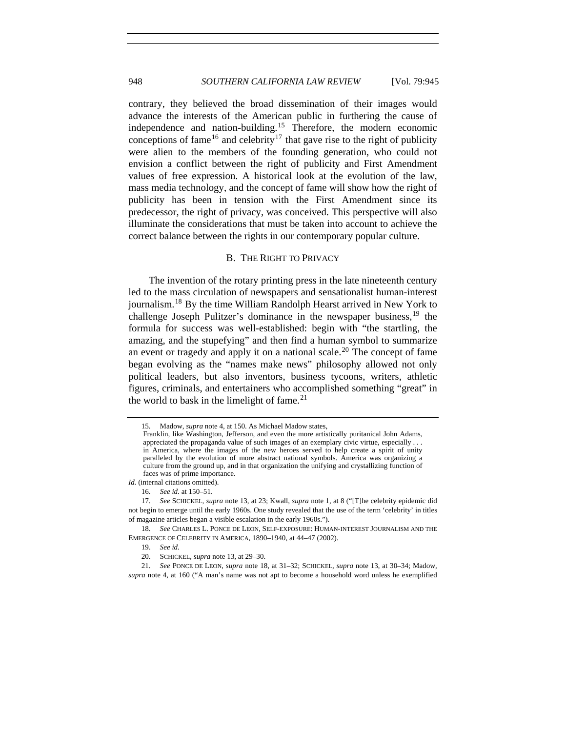contrary, they believed the broad dissemination of their images would advance the interests of the American public in furthering the cause of independence and nation-building.[15](#page-3-0) Therefore, the modern economic conceptions of fame<sup>[16](#page-3-1)</sup> and celebrity<sup>[17](#page-3-2)</sup> that gave rise to the right of publicity were alien to the members of the founding generation, who could not envision a conflict between the right of publicity and First Amendment values of free expression. A historical look at the evolution of the law, mass media technology, and the concept of fame will show how the right of publicity has been in tension with the First Amendment since its predecessor, the right of privacy, was conceived. This perspective will also illuminate the considerations that must be taken into account to achieve the correct balance between the rights in our contemporary popular culture.

## B. THE RIGHT TO PRIVACY

The invention of the rotary printing press in the late nineteenth century led to the mass circulation of newspapers and sensationalist human-interest journalism.[18](#page-3-3) By the time William Randolph Hearst arrived in New York to challenge Joseph Pulitzer's dominance in the newspaper business,  $19$  the formula for success was well-established: begin with "the startling, the amazing, and the stupefying" and then find a human symbol to summarize an event or tragedy and apply it on a national scale.<sup>[20](#page-3-5)</sup> The concept of fame began evolving as the "names make news" philosophy allowed not only political leaders, but also inventors, business tycoons, writers, athletic figures, criminals, and entertainers who accomplished something "great" in the world to bask in the limelight of fame. $21$ 

<sup>15</sup>*.* Madow, *supra* note 4, at 150. As Michael Madow states,

Franklin, like Washington, Jefferson, and even the more artistically puritanical John Adams, appreciated the propaganda value of such images of an exemplary civic virtue, especially . . . in America, where the images of the new heroes served to help create a spirit of unity paralleled by the evolution of more abstract national symbols. America was organizing a culture from the ground up, and in that organization the unifying and crystallizing function of faces was of prime importance.

<span id="page-3-0"></span>*Id.* (internal citations omitted).

<sup>16</sup>*. See id.* at 150–51.

<span id="page-3-2"></span><span id="page-3-1"></span><sup>17</sup>*. See* SCHICKEL, *supra* note 13, at 23; Kwall, *supra* note 1, at 8 ("[T]he celebrity epidemic did not begin to emerge until the early 1960s. One study revealed that the use of the term 'celebrity' in titles of magazine articles began a visible escalation in the early 1960s.").

<span id="page-3-4"></span><span id="page-3-3"></span><sup>18</sup>*. See* CHARLES L. PONCE DE LEON, SELF-EXPOSURE: HUMAN-INTEREST JOURNALISM AND THE EMERGENCE OF CELEBRITY IN AMERICA, 1890–1940, at 44–47 (2002).

 <sup>19.</sup> *See id.*

 <sup>20.</sup> SCHICKEL, *supra* note 13, at 29–30.

<span id="page-3-6"></span><span id="page-3-5"></span><sup>21</sup>*. See* PONCE DE LEON, *supra* note 18, at 31–32; SCHICKEL, *supra* note 13, at 30–34; Madow, *supra* note 4, at 160 ("A man's name was not apt to become a household word unless he exemplified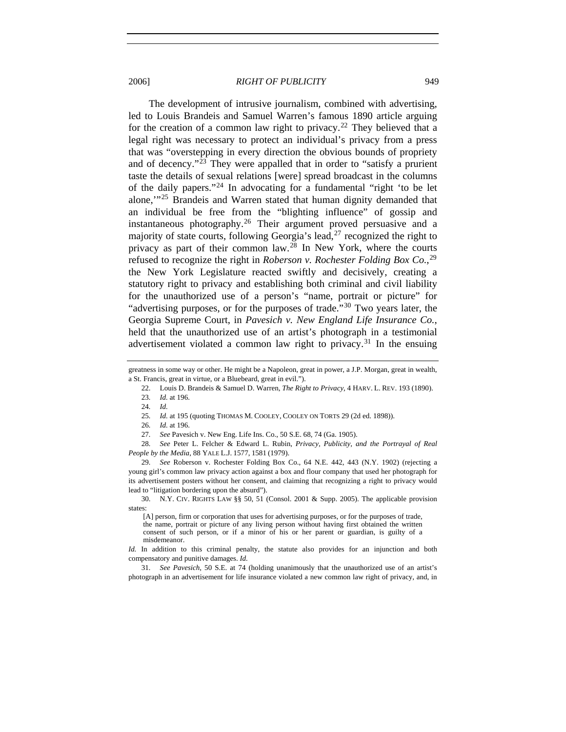The development of intrusive journalism, combined with advertising, led to Louis Brandeis and Samuel Warren's famous 1890 article arguing for the creation of a common law right to privacy.<sup>[22](#page-4-0)</sup> They believed that a legal right was necessary to protect an individual's privacy from a press that was "overstepping in every direction the obvious bounds of propriety and of decency."[23](#page-4-1) They were appalled that in order to "satisfy a prurient taste the details of sexual relations [were] spread broadcast in the columns of the daily papers."[24](#page-4-2) In advocating for a fundamental "right 'to be let alone,'"[25](#page-4-3) Brandeis and Warren stated that human dignity demanded that an individual be free from the "blighting influence" of gossip and instantaneous photography.[26](#page-4-4) Their argument proved persuasive and a majority of state courts, following Georgia's lead,  $27$  recognized the right to privacy as part of their common law.[28](#page-4-6) In New York, where the courts refused to recognize the right in *Roberson v. Rochester Folding Box Co.*, [29](#page-4-7) the New York Legislature reacted swiftly and decisively, creating a statutory right to privacy and establishing both criminal and civil liability for the unauthorized use of a person's "name, portrait or picture" for "advertising purposes, or for the purposes of trade."<sup>[30](#page-4-8)</sup> Two years later, the Georgia Supreme Court, in *Pavesich v. New England Life Insurance Co.*, held that the unauthorized use of an artist's photograph in a testimonial advertisement violated a common law right to privacy.<sup>[31](#page-4-9)</sup> In the ensuing

<span id="page-4-6"></span><span id="page-4-5"></span><span id="page-4-4"></span><span id="page-4-3"></span>28*. See* Peter L. Felcher & Edward L. Rubin, *Privacy, Publicity, and the Portrayal of Real People by the Media*, 88 YALE L.J. 1577, 1581 (1979).

<span id="page-4-7"></span>29*. See* Roberson v. Rochester Folding Box Co., 64 N.E. 442, 443 (N.Y. 1902) (rejecting a young girl's common law privacy action against a box and flour company that used her photograph for its advertisement posters without her consent, and claiming that recognizing a right to privacy would lead to "litigation bordering upon the absurd").

<span id="page-4-8"></span> 30. N.Y. CIV. RIGHTS LAW §§ 50, 51 (Consol. 2001 & Supp. 2005). The applicable provision states:

<span id="page-4-2"></span><span id="page-4-1"></span><span id="page-4-0"></span>greatness in some way or other. He might be a Napoleon, great in power, a J.P. Morgan, great in wealth, a St. Francis, great in virtue, or a Bluebeard, great in evil.").

 <sup>22.</sup> Louis D. Brandeis & Samuel D. Warren, *The Right to Privacy*, 4 HARV. L. REV. 193 (1890). 23*. Id.* at 196.

<sup>24</sup>*. Id.*

<sup>25</sup>*. Id.* at 195 (quoting THOMAS M. COOLEY, COOLEY ON TORTS 29 (2d ed. 1898)).

<sup>26</sup>*. Id.* at 196.

<sup>27</sup>*. See* Pavesich v. New Eng. Life Ins. Co., 50 S.E. 68, 74 (Ga. 1905).

<sup>[</sup>A] person, firm or corporation that uses for advertising purposes, or for the purposes of trade, the name, portrait or picture of any living person without having first obtained the written consent of such person, or if a minor of his or her parent or guardian, is guilty of a misdemeanor.

*Id.* In addition to this criminal penalty, the statute also provides for an injunction and both compensatory and punitive damages. *Id.* 

<span id="page-4-9"></span><sup>31</sup>*. See Pavesich*, 50 S.E. at 74 (holding unanimously that the unauthorized use of an artist's photograph in an advertisement for life insurance violated a new common law right of privacy, and, in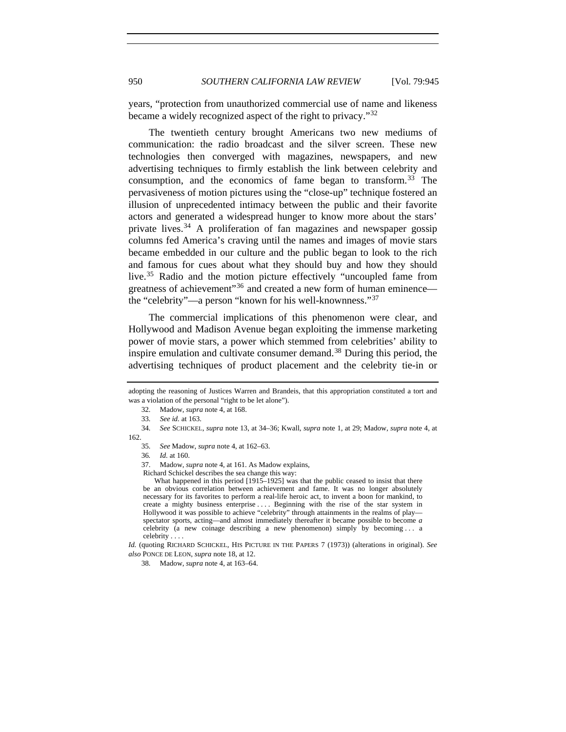years, "protection from unauthorized commercial use of name and likeness became a widely recognized aspect of the right to privacy."<sup>[32](#page-5-0)</sup>

The twentieth century brought Americans two new mediums of communication: the radio broadcast and the silver screen. These new technologies then converged with magazines, newspapers, and new advertising techniques to firmly establish the link between celebrity and consumption, and the economics of fame began to transform.<sup>[33](#page-5-1)</sup> The pervasiveness of motion pictures using the "close-up" technique fostered an illusion of unprecedented intimacy between the public and their favorite actors and generated a widespread hunger to know more about the stars' private lives. $34$  A proliferation of fan magazines and newspaper gossip columns fed America's craving until the names and images of movie stars became embedded in our culture and the public began to look to the rich and famous for cues about what they should buy and how they should live.<sup>[35](#page-5-3)</sup> Radio and the motion picture effectively "uncoupled fame from greatness of achievement"<sup>[36](#page-5-4)</sup> and created a new form of human eminence the "celebrity"—a person "known for his well-knownness."[37](#page-5-5)

The commercial implications of this phenomenon were clear, and Hollywood and Madison Avenue began exploiting the immense marketing power of movie stars, a power which stemmed from celebrities' ability to inspire emulation and cultivate consumer demand.<sup>[38](#page-5-6)</sup> During this period, the advertising techniques of product placement and the celebrity tie-in or

37. Madow, *supra* note 4, at 161. As Madow explains,

Richard Schickel describes the sea change this way:

What happened in this period [1915–1925] was that the public ceased to insist that there be an obvious correlation between achievement and fame. It was no longer absolutely necessary for its favorites to perform a real-life heroic act, to invent a boon for mankind, to create a mighty business enterprise . . . . Beginning with the rise of the star system in Hollywood it was possible to achieve "celebrity" through attainments in the realms of play spectator sports, acting—and almost immediately thereafter it became possible to become *a* celebrity (a new coinage describing a new phenomenon) simply by becoming . . . a celebrity . . . .

<span id="page-5-6"></span>*Id.* (quoting RICHARD SCHICKEL, HIS PICTURE IN THE PAPERS 7 (1973)) (alterations in original). *See also* PONCE DE LEON, *supra* note 18, at 12.

<span id="page-5-0"></span>adopting the reasoning of Justices Warren and Brandeis, that this appropriation constituted a tort and was a violation of the personal "right to be let alone").

<sup>32</sup>*.* Madow, *supra* note 4, at 168.

<sup>33</sup>*. See id.* at 163.

<span id="page-5-5"></span><span id="page-5-4"></span><span id="page-5-3"></span><span id="page-5-2"></span><span id="page-5-1"></span><sup>34</sup>*. See* SCHICKEL, *supra* note 13, at 34–36; Kwall, *supra* note 1, at 29; Madow, *supra* note 4, at 162.

<sup>35</sup>*. See* Madow, *supra* note 4, at 162–63.

<sup>36</sup>*. Id.* at 160.

<sup>38</sup>*.* Madow, *supra* note 4, at 163–64.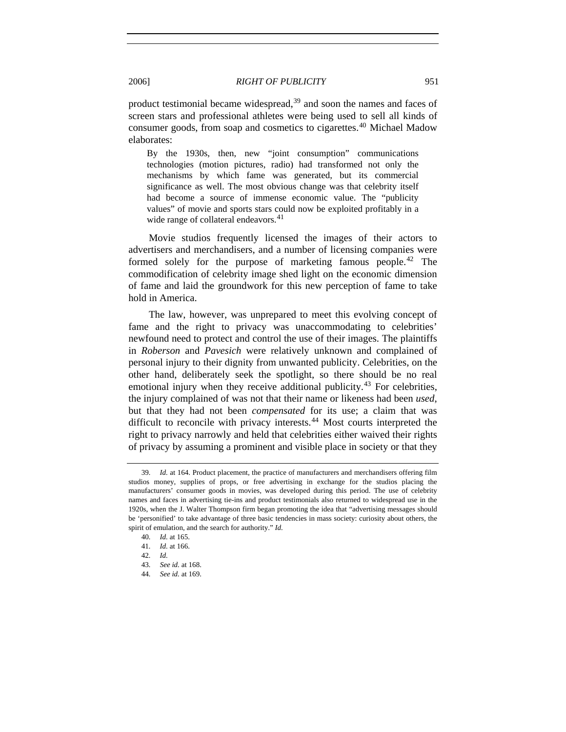product testimonial became widespread,<sup>[39](#page-6-0)</sup> and soon the names and faces of screen stars and professional athletes were being used to sell all kinds of consumer goods, from soap and cosmetics to cigarettes.[40](#page-6-1) Michael Madow elaborates:

By the 1930s, then, new "joint consumption" communications technologies (motion pictures, radio) had transformed not only the mechanisms by which fame was generated, but its commercial significance as well. The most obvious change was that celebrity itself had become a source of immense economic value. The "publicity values" of movie and sports stars could now be exploited profitably in a wide range of collateral endeavors.<sup>[41](#page-6-2)</sup>

Movie studios frequently licensed the images of their actors to advertisers and merchandisers, and a number of licensing companies were formed solely for the purpose of marketing famous people.<sup>[42](#page-6-3)</sup> The commodification of celebrity image shed light on the economic dimension of fame and laid the groundwork for this new perception of fame to take hold in America.

The law, however, was unprepared to meet this evolving concept of fame and the right to privacy was unaccommodating to celebrities' newfound need to protect and control the use of their images. The plaintiffs in *Roberson* and *Pavesich* were relatively unknown and complained of personal injury to their dignity from unwanted publicity. Celebrities, on the other hand, deliberately seek the spotlight, so there should be no real emotional injury when they receive additional publicity.<sup>[43](#page-6-4)</sup> For celebrities, the injury complained of was not that their name or likeness had been *used*, but that they had not been *compensated* for its use; a claim that was difficult to reconcile with privacy interests.<sup>[44](#page-6-5)</sup> Most courts interpreted the right to privacy narrowly and held that celebrities either waived their rights of privacy by assuming a prominent and visible place in society or that they

<span id="page-6-0"></span><sup>39</sup>*. Id.* at 164. Product placement, the practice of manufacturers and merchandisers offering film studios money, supplies of props, or free advertising in exchange for the studios placing the manufacturers' consumer goods in movies, was developed during this period. The use of celebrity names and faces in advertising tie-ins and product testimonials also returned to widespread use in the 1920s, when the J. Walter Thompson firm began promoting the idea that "advertising messages should be 'personified' to take advantage of three basic tendencies in mass society: curiosity about others, the spirit of emulation, and the search for authority." *Id.* 

<span id="page-6-1"></span><sup>40</sup>*. Id.* at 165.

<span id="page-6-2"></span><sup>41</sup>*. Id.* at 166.

<span id="page-6-3"></span><sup>42</sup>*. Id.*

<span id="page-6-4"></span><sup>43</sup>*. See id.* at 168.

<span id="page-6-5"></span><sup>44</sup>*. See id.* at 169.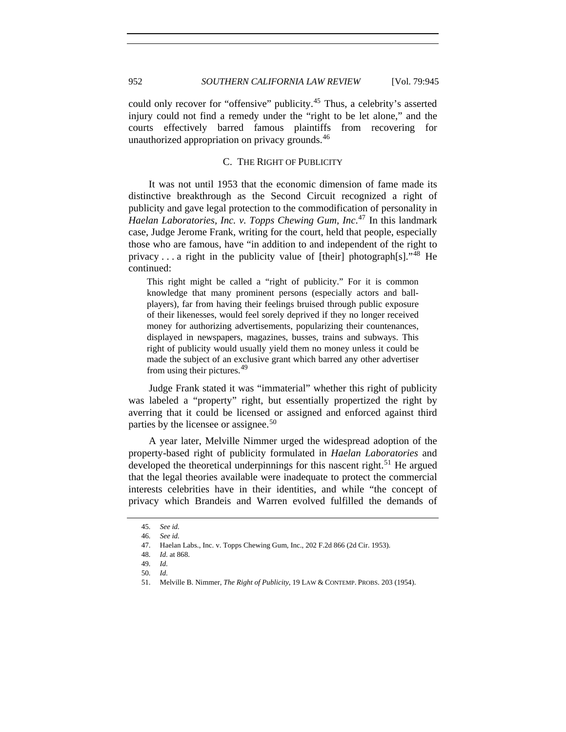could only recover for "offensive" publicity.<sup>[45](#page-7-0)</sup> Thus, a celebrity's asserted injury could not find a remedy under the "right to be let alone," and the courts effectively barred famous plaintiffs from recovering for unauthorized appropriation on privacy grounds.<sup>[46](#page-7-1)</sup>

## C. THE RIGHT OF PUBLICITY

It was not until 1953 that the economic dimension of fame made its distinctive breakthrough as the Second Circuit recognized a right of publicity and gave legal protection to the commodification of personality in *Haelan Laboratories, Inc. v. Topps Chewing Gum, Inc*. [47](#page-7-2) In this landmark case, Judge Jerome Frank, writing for the court, held that people, especially those who are famous, have "in addition to and independent of the right to privacy ... a right in the publicity value of [their] photograph[s]."<sup>[48](#page-7-3)</sup> He continued:

This right might be called a "right of publicity." For it is common knowledge that many prominent persons (especially actors and ballplayers), far from having their feelings bruised through public exposure of their likenesses, would feel sorely deprived if they no longer received money for authorizing advertisements, popularizing their countenances, displayed in newspapers, magazines, busses, trains and subways. This right of publicity would usually yield them no money unless it could be made the subject of an exclusive grant which barred any other advertiser from using their pictures.<sup>[49](#page-7-4)</sup>

Judge Frank stated it was "immaterial" whether this right of publicity was labeled a "property" right, but essentially propertized the right by averring that it could be licensed or assigned and enforced against third parties by the licensee or assignee.<sup>[50](#page-7-5)</sup>

A year later, Melville Nimmer urged the widespread adoption of the property-based right of publicity formulated in *Haelan Laboratories* and developed the theoretical underpinnings for this nascent right.<sup>[51](#page-7-6)</sup> He argued that the legal theories available were inadequate to protect the commercial interests celebrities have in their identities, and while "the concept of privacy which Brandeis and Warren evolved fulfilled the demands of

<sup>45</sup>*. See id.*

<span id="page-7-3"></span><span id="page-7-2"></span><span id="page-7-1"></span><span id="page-7-0"></span><sup>46</sup>*. See id.*

 <sup>47.</sup> Haelan Labs., Inc. v. Topps Chewing Gum, Inc., 202 F.2d 866 (2d Cir. 1953).

<sup>48</sup>*. Id.* at 868.

<span id="page-7-4"></span><sup>49</sup>*. Id.*

<span id="page-7-6"></span><span id="page-7-5"></span><sup>50</sup>*. Id.*

 <sup>51.</sup> Melville B. Nimmer, *The Right of Publicity*, 19 LAW & CONTEMP. PROBS. 203 (1954).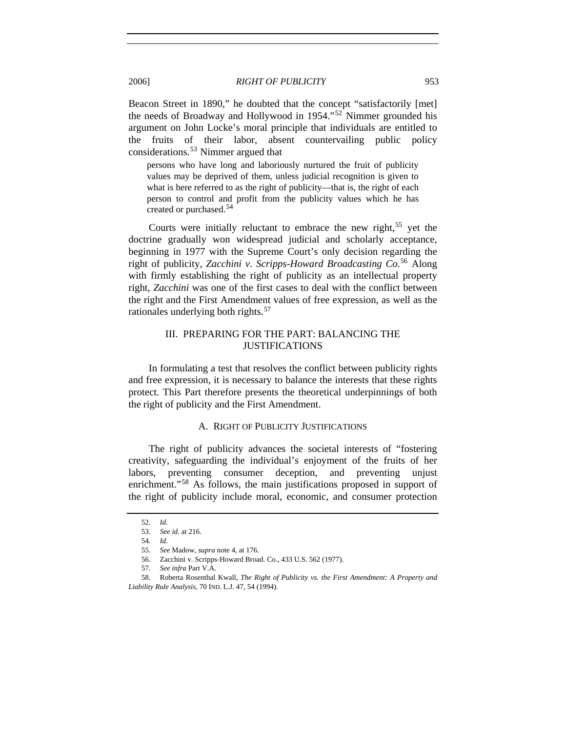Beacon Street in 1890," he doubted that the concept "satisfactorily [met] the needs of Broadway and Hollywood in 1954."[52](#page-8-0) Nimmer grounded his argument on John Locke's moral principle that individuals are entitled to the fruits of their labor, absent countervailing public policy considerations.[53](#page-8-1) Nimmer argued that

persons who have long and laboriously nurtured the fruit of publicity values may be deprived of them, unless judicial recognition is given to what is here referred to as the right of publicity—that is, the right of each person to control and profit from the publicity values which he has created or purchased.[54](#page-8-2)

Courts were initially reluctant to embrace the new right,  $55$  yet the doctrine gradually won widespread judicial and scholarly acceptance, beginning in 1977 with the Supreme Court's only decision regarding the right of publicity, *Zacchini v. Scripps-Howard Broadcasting Co*. [56](#page-8-4) Along with firmly establishing the right of publicity as an intellectual property right, *Zacchini* was one of the first cases to deal with the conflict between the right and the First Amendment values of free expression, as well as the rationales underlying both rights.<sup>[57](#page-8-5)</sup>

# III. PREPARING FOR THE PART: BALANCING THE JUSTIFICATIONS

In formulating a test that resolves the conflict between publicity rights and free expression, it is necessary to balance the interests that these rights protect. This Part therefore presents the theoretical underpinnings of both the right of publicity and the First Amendment.

## A. RIGHT OF PUBLICITY JUSTIFICATIONS

The right of publicity advances the societal interests of "fostering creativity, safeguarding the individual's enjoyment of the fruits of her labors, preventing consumer deception, and preventing unjust enrichment."<sup>[58](#page-8-6)</sup> As follows, the main justifications proposed in support of the right of publicity include moral, economic, and consumer protection

<sup>52</sup>*. Id.*

<sup>53</sup>*. See id.* at 216.

<sup>54</sup>*. Id.*

<sup>55</sup>*. See* Madow, *supra* note 4, at 176.

 <sup>56.</sup> Zacchini v. Scripps-Howard Broad. Co., 433 U.S. 562 (1977).

<sup>57</sup>*. See infra* Part V.A.

<span id="page-8-6"></span><span id="page-8-5"></span><span id="page-8-4"></span><span id="page-8-3"></span><span id="page-8-2"></span><span id="page-8-1"></span><span id="page-8-0"></span> <sup>58.</sup> Roberta Rosenthal Kwall, *The Right of Publicity vs. the First Amendment: A Property and Liability Rule Analysis*, 70 IND. L.J. 47, 54 (1994).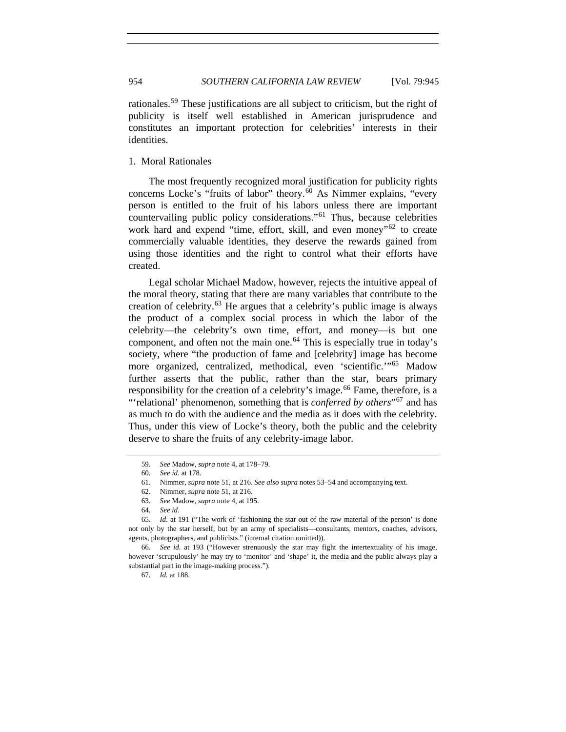rationales.[59](#page-9-0) These justifications are all subject to criticism, but the right of publicity is itself well established in American jurisprudence and constitutes an important protection for celebrities' interests in their identities.

1. Moral Rationales

The most frequently recognized moral justification for publicity rights concerns Locke's "fruits of labor" theory.<sup>[60](#page-9-1)</sup> As Nimmer explains, "every person is entitled to the fruit of his labors unless there are important countervailing public policy considerations."[61](#page-9-2) Thus, because celebrities work hard and expend "time, effort, skill, and even money"<sup>[62](#page-9-3)</sup> to create commercially valuable identities, they deserve the rewards gained from using those identities and the right to control what their efforts have created.

Legal scholar Michael Madow, however, rejects the intuitive appeal of the moral theory, stating that there are many variables that contribute to the creation of celebrity.<sup>[63](#page-9-4)</sup> He argues that a celebrity's public image is always the product of a complex social process in which the labor of the celebrity—the celebrity's own time, effort, and money—is but one component, and often not the main one.<sup>[64](#page-9-5)</sup> This is especially true in today's society, where "the production of fame and [celebrity] image has become more organized, centralized, methodical, even 'scientific.'"[65](#page-9-6) Madow further asserts that the public, rather than the star, bears primary responsibility for the creation of a celebrity's image.<sup>[66](#page-9-7)</sup> Fame, therefore, is a "'relational' phenomenon, something that is *conferred by others*"[67](#page-9-8) and has as much to do with the audience and the media as it does with the celebrity. Thus, under this view of Locke's theory, both the public and the celebrity deserve to share the fruits of any celebrity-image labor.

<sup>59</sup>*. See* Madow, *supra* note 4, at 178–79.

<sup>60</sup>*. See id.* at 178.

 <sup>61.</sup> Nimmer, *supra* note 51, at 216. *See also supra* notes 53–54 and accompanying text.

 <sup>62.</sup> Nimmer, *supra* note 51, at 216.

 <sup>63.</sup> *See* Madow, *supra* note 4, at 195.

<sup>64</sup>*. See id*.

<span id="page-9-6"></span><span id="page-9-5"></span><span id="page-9-4"></span><span id="page-9-3"></span><span id="page-9-2"></span><span id="page-9-1"></span><span id="page-9-0"></span><sup>65</sup>*. Id.* at 191 ("The work of 'fashioning the star out of the raw material of the person' is done not only by the star herself, but by an army of specialists—consultants, mentors, coaches, advisors, agents, photographers, and publicists." (internal citation omitted)).

<span id="page-9-8"></span><span id="page-9-7"></span><sup>66</sup>*. See id.* at 193 ("However strenuously the star may fight the intertextuality of his image, however 'scrupulously' he may try to 'monitor' and 'shape' it, the media and the public always play a substantial part in the image-making process.").

<sup>67</sup>*. Id.* at 188.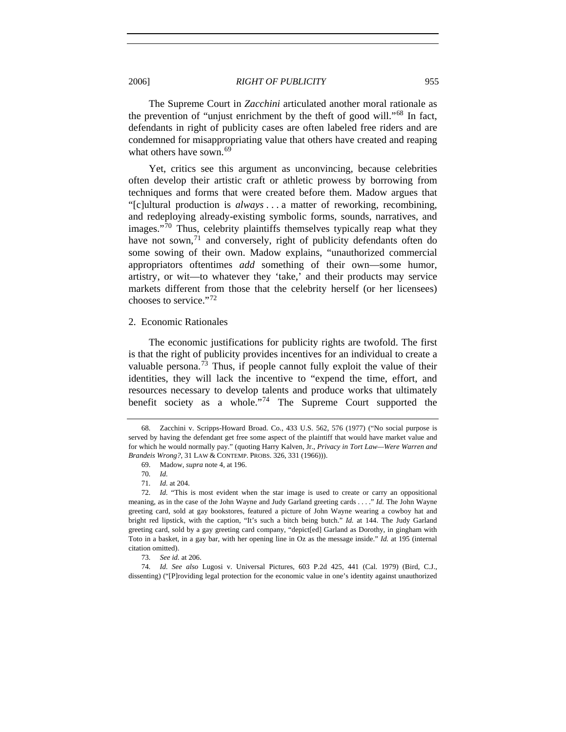The Supreme Court in *Zacchini* articulated another moral rationale as the prevention of "unjust enrichment by the theft of good will."<sup>[68](#page-10-0)</sup> In fact, defendants in right of publicity cases are often labeled free riders and are condemned for misappropriating value that others have created and reaping what others have sown. $69$ 

Yet, critics see this argument as unconvincing, because celebrities often develop their artistic craft or athletic prowess by borrowing from techniques and forms that were created before them. Madow argues that "[c]ultural production is *always* . . . a matter of reworking, recombining, and redeploying already-existing symbolic forms, sounds, narratives, and images."<sup>[70](#page-10-2)</sup> Thus, celebrity plaintiffs themselves typically reap what they have not sown, $<sup>71</sup>$  $<sup>71</sup>$  $<sup>71</sup>$  and conversely, right of publicity defendants often do</sup> some sowing of their own. Madow explains, "unauthorized commercial appropriators oftentimes *add* something of their own—some humor, artistry, or wit—to whatever they 'take,' and their products may service markets different from those that the celebrity herself (or her licensees) chooses to service."[72](#page-10-4)

2. Economic Rationales

The economic justifications for publicity rights are twofold. The first is that the right of publicity provides incentives for an individual to create a valuable persona.<sup>[73](#page-10-5)</sup> Thus, if people cannot fully exploit the value of their identities, they will lack the incentive to "expend the time, effort, and resources necessary to develop talents and produce works that ultimately benefit society as a whole."[74](#page-10-6) The Supreme Court supported the

<span id="page-10-0"></span><sup>68</sup>*.* Zacchini v. Scripps-Howard Broad. Co., 433 U.S. 562, 576 (1977) ("No social purpose is served by having the defendant get free some aspect of the plaintiff that would have market value and for which he would normally pay." (quoting Harry Kalven, Jr., *Privacy in Tort Law—Were Warren and Brandeis Wrong?*, 31 LAW & CONTEMP. PROBS. 326, 331 (1966))).

 <sup>69.</sup> Madow, *supra* note 4, at 196.

<sup>70</sup>*. Id.*

<sup>71</sup>*. Id.* at 204.

<span id="page-10-4"></span><span id="page-10-3"></span><span id="page-10-2"></span><span id="page-10-1"></span><sup>72</sup>*. Id.* "This is most evident when the star image is used to create or carry an oppositional meaning, as in the case of the John Wayne and Judy Garland greeting cards . . . ." *Id.* The John Wayne greeting card, sold at gay bookstores, featured a picture of John Wayne wearing a cowboy hat and bright red lipstick, with the caption, "It's such a bitch being butch." *Id.* at 144. The Judy Garland greeting card, sold by a gay greeting card company, "depict[ed] Garland as Dorothy, in gingham with Toto in a basket, in a gay bar, with her opening line in Oz as the message inside." *Id.* at 195 (internal citation omitted).

<sup>73</sup>*. See id.* at 206.

<span id="page-10-6"></span><span id="page-10-5"></span><sup>74</sup>*. Id. See also* Lugosi v. Universal Pictures, 603 P.2d 425, 441 (Cal. 1979) (Bird, C.J., dissenting) ("[P]roviding legal protection for the economic value in one's identity against unauthorized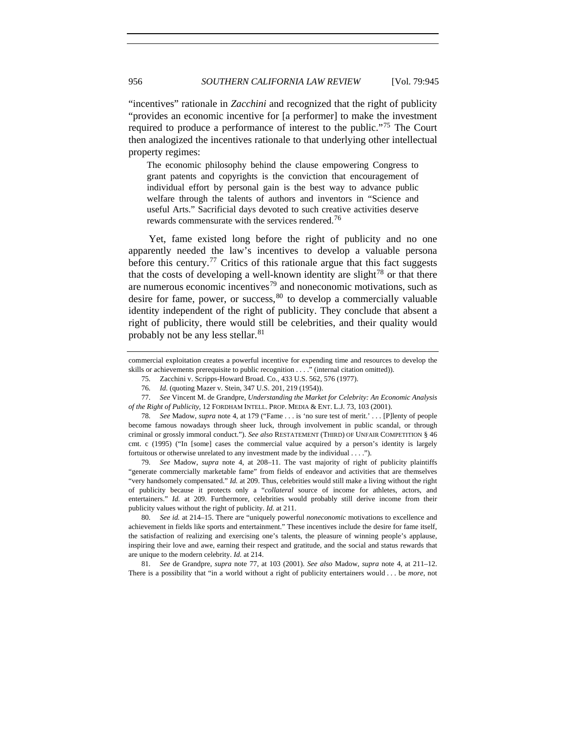"incentives" rationale in *Zacchini* and recognized that the right of publicity "provides an economic incentive for [a performer] to make the investment required to produce a performance of interest to the public."[75](#page-11-0) The Court then analogized the incentives rationale to that underlying other intellectual property regimes:

The economic philosophy behind the clause empowering Congress to grant patents and copyrights is the conviction that encouragement of individual effort by personal gain is the best way to advance public welfare through the talents of authors and inventors in "Science and useful Arts." Sacrificial days devoted to such creative activities deserve rewards commensurate with the services rendered.<sup>[76](#page-11-1)</sup>

Yet, fame existed long before the right of publicity and no one apparently needed the law's incentives to develop a valuable persona before this century.<sup>[77](#page-11-2)</sup> Critics of this rationale argue that this fact suggests that the costs of developing a well-known identity are slight<sup>[78](#page-11-3)</sup> or that there are numerous economic incentives<sup>[79](#page-11-4)</sup> and noneconomic motivations, such as desire for fame, power, or success,  $80$  to develop a commercially valuable identity independent of the right of publicity. They conclude that absent a right of publicity, there would still be celebrities, and their quality would probably not be any less stellar.<sup>[81](#page-11-6)</sup>

<span id="page-11-4"></span>79*. See* Madow, *supra* note 4, at 208–11. The vast majority of right of publicity plaintiffs "generate commercially marketable fame" from fields of endeavor and activities that are themselves "very handsomely compensated." *Id.* at 209. Thus, celebrities would still make a living without the right of publicity because it protects only a "*collateral* source of income for athletes, actors, and entertainers." *Id.* at 209. Furthermore, celebrities would probably still derive income from their publicity values without the right of publicity. *Id.* at 211.

<span id="page-11-5"></span>80*. See id.* at 214–15. There are "uniquely powerful *noneconomic* motivations to excellence and achievement in fields like sports and entertainment." These incentives include the desire for fame itself, the satisfaction of realizing and exercising one's talents, the pleasure of winning people's applause, inspiring their love and awe, earning their respect and gratitude, and the social and status rewards that are unique to the modern celebrity. *Id.* at 214.

<span id="page-11-6"></span>81*. See* de Grandpre, *supra* note 77, at 103 (2001). *See also* Madow, *supra* note 4, at 211–12. There is a possibility that "in a world without a right of publicity entertainers would . . . be *more*, not

<span id="page-11-0"></span>commercial exploitation creates a powerful incentive for expending time and resources to develop the skills or achievements prerequisite to public recognition . . . ." (internal citation omitted)).

<sup>75</sup>*.* Zacchini v. Scripps-Howard Broad. Co., 433 U.S. 562, 576 (1977).

<sup>76</sup>*. Id.* (quoting Mazer v. Stein, 347 U.S. 201, 219 (1954)).

<span id="page-11-2"></span><span id="page-11-1"></span><sup>77</sup>*. See* Vincent M. de Grandpre, *Understanding the Market for Celebrity: An Economic Analysis of the Right of Publicity*, 12 FORDHAM INTELL. PROP. MEDIA & ENT. L.J. 73, 103 (2001).

<span id="page-11-3"></span><sup>78</sup>*. See* Madow, *supra* note 4, at 179 ("Fame . . . is 'no sure test of merit.' . . . [P]lenty of people become famous nowadays through sheer luck, through involvement in public scandal, or through criminal or grossly immoral conduct."). *See also* RESTATEMENT (THIRD) OF UNFAIR COMPETITION § 46 cmt. c (1995) ("In [some] cases the commercial value acquired by a person's identity is largely fortuitous or otherwise unrelated to any investment made by the individual . . . .").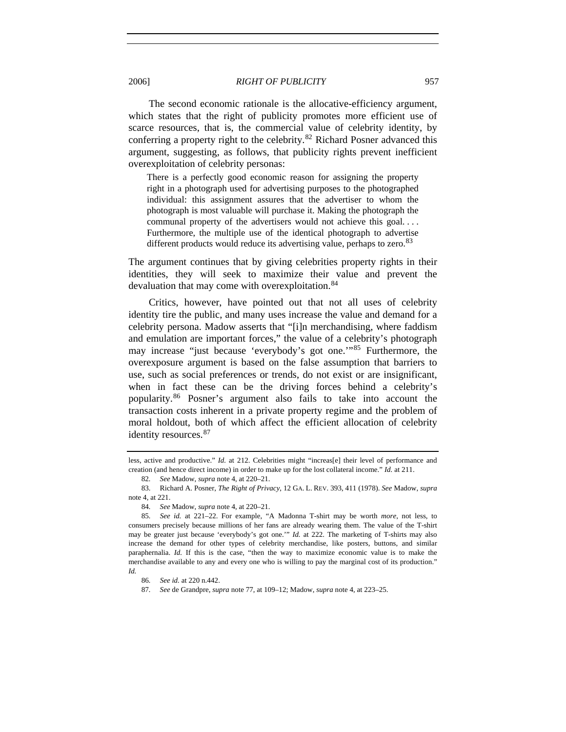The second economic rationale is the allocative-efficiency argument, which states that the right of publicity promotes more efficient use of scarce resources, that is, the commercial value of celebrity identity, by conferring a property right to the celebrity.<sup>[82](#page-12-0)</sup> Richard Posner advanced this argument, suggesting, as follows, that publicity rights prevent inefficient overexploitation of celebrity personas:

There is a perfectly good economic reason for assigning the property right in a photograph used for advertising purposes to the photographed individual: this assignment assures that the advertiser to whom the photograph is most valuable will purchase it. Making the photograph the communal property of the advertisers would not achieve this goal. . . . Furthermore, the multiple use of the identical photograph to advertise different products would reduce its advertising value, perhaps to zero.<sup>[83](#page-12-1)</sup>

The argument continues that by giving celebrities property rights in their identities, they will seek to maximize their value and prevent the devaluation that may come with overexploitation.<sup>[84](#page-12-2)</sup>

Critics, however, have pointed out that not all uses of celebrity identity tire the public, and many uses increase the value and demand for a celebrity persona. Madow asserts that "[i]n merchandising, where faddism and emulation are important forces," the value of a celebrity's photograph may increase "just because 'everybody's got one.'"[85](#page-12-3) Furthermore, the overexposure argument is based on the false assumption that barriers to use, such as social preferences or trends, do not exist or are insignificant, when in fact these can be the driving forces behind a celebrity's popularity.[86](#page-12-4) Posner's argument also fails to take into account the transaction costs inherent in a private property regime and the problem of moral holdout, both of which affect the efficient allocation of celebrity identity resources.<sup>[87](#page-12-5)</sup>

87*. See* de Grandpre, *supra* note 77, at 109–12; Madow, *supra* note 4, at 223–25.

less, active and productive." *Id.* at 212. Celebrities might "increas[e] their level of performance and creation (and hence direct income) in order to make up for the lost collateral income." *Id.* at 211.

<sup>82</sup>*. See* Madow, *supra* note 4, at 220–21.

<span id="page-12-1"></span><span id="page-12-0"></span> <sup>83.</sup> Richard A. Posner, *The Right of Privacy*, 12 GA. L. REV. 393, 411 (1978). *See* Madow, *supra* note 4, at 221.

<sup>84</sup>*. See* Madow, *supra* note 4, at 220–21.

<span id="page-12-3"></span><span id="page-12-2"></span><sup>85</sup>*. See id.* at 221–22. For example, "A Madonna T-shirt may be worth *more*, not less, to consumers precisely because millions of her fans are already wearing them. The value of the T-shirt may be greater just because 'everybody's got one.'" *Id.* at 222. The marketing of T-shirts may also increase the demand for other types of celebrity merchandise, like posters, buttons, and similar paraphernalia. *Id.* If this is the case, "then the way to maximize economic value is to make the merchandise available to any and every one who is willing to pay the marginal cost of its production." *Id.* 

<span id="page-12-5"></span><span id="page-12-4"></span><sup>86</sup>*. See id.* at 220 n.442.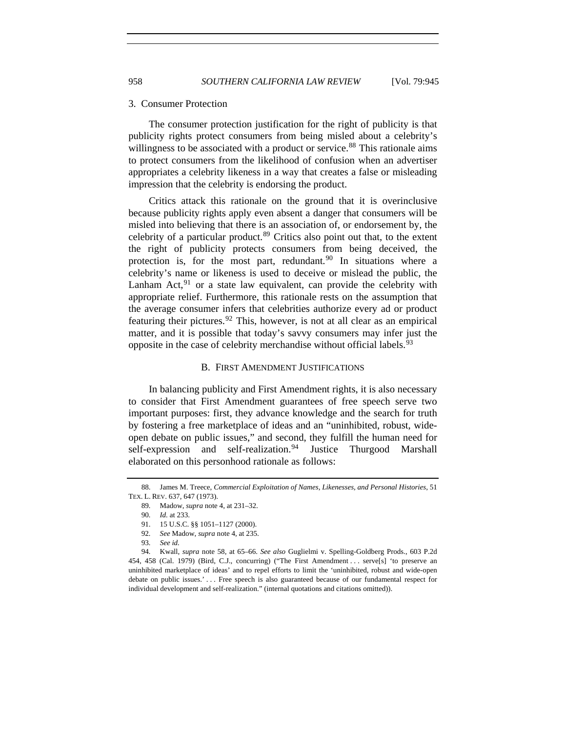#### 3. Consumer Protection

The consumer protection justification for the right of publicity is that publicity rights protect consumers from being misled about a celebrity's willingness to be associated with a product or service.<sup>[88](#page-13-0)</sup> This rationale aims to protect consumers from the likelihood of confusion when an advertiser appropriates a celebrity likeness in a way that creates a false or misleading impression that the celebrity is endorsing the product.

Critics attack this rationale on the ground that it is overinclusive because publicity rights apply even absent a danger that consumers will be misled into believing that there is an association of, or endorsement by, the celebrity of a particular product.<sup>[89](#page-13-1)</sup> Critics also point out that, to the extent the right of publicity protects consumers from being deceived, the protection is, for the most part, redundant. $90$  In situations where a celebrity's name or likeness is used to deceive or mislead the public, the Lanham Act,  $91$  or a state law equivalent, can provide the celebrity with appropriate relief. Furthermore, this rationale rests on the assumption that the average consumer infers that celebrities authorize every ad or product featuring their pictures. <sup>[92](#page-13-4)</sup> This, however, is not at all clear as an empirical matter, and it is possible that today's savvy consumers may infer just the opposite in the case of celebrity merchandise without official labels.<sup>[93](#page-13-5)</sup>

#### B. FIRST AMENDMENT JUSTIFICATIONS

In balancing publicity and First Amendment rights, it is also necessary to consider that First Amendment guarantees of free speech serve two important purposes: first, they advance knowledge and the search for truth by fostering a free marketplace of ideas and an "uninhibited, robust, wideopen debate on public issues," and second, they fulfill the human need for self-expression and self-realization.<sup>[94](#page-13-6)</sup> Justice Thurgood Marshall elaborated on this personhood rationale as follows:

<span id="page-13-2"></span><span id="page-13-1"></span><span id="page-13-0"></span> <sup>88.</sup> James M. Treece, *Commercial Exploitation of Names, Likenesses, and Personal Histories*, 51 TEX. L. REV. 637, 647 (1973).

<sup>89</sup>*.* Madow, *supra* note 4, at 231–32.

<sup>90</sup>*. Id.* at 233.

<sup>91. 15</sup> U.S.C. §§ 1051-1127 (2000).

<sup>92</sup>*. See* Madow, *supra* note 4, at 235.

<sup>93</sup>*. See id.*

<span id="page-13-6"></span><span id="page-13-5"></span><span id="page-13-4"></span><span id="page-13-3"></span><sup>94</sup>*.* Kwall, *supra* note 58, at 65–66. *See also* Guglielmi v. Spelling-Goldberg Prods., 603 P.2d 454, 458 (Cal. 1979) (Bird, C.J., concurring) ("The First Amendment . . . serve[s] 'to preserve an uninhibited marketplace of ideas' and to repel efforts to limit the 'uninhibited, robust and wide-open debate on public issues.' . . . Free speech is also guaranteed because of our fundamental respect for individual development and self-realization." (internal quotations and citations omitted)).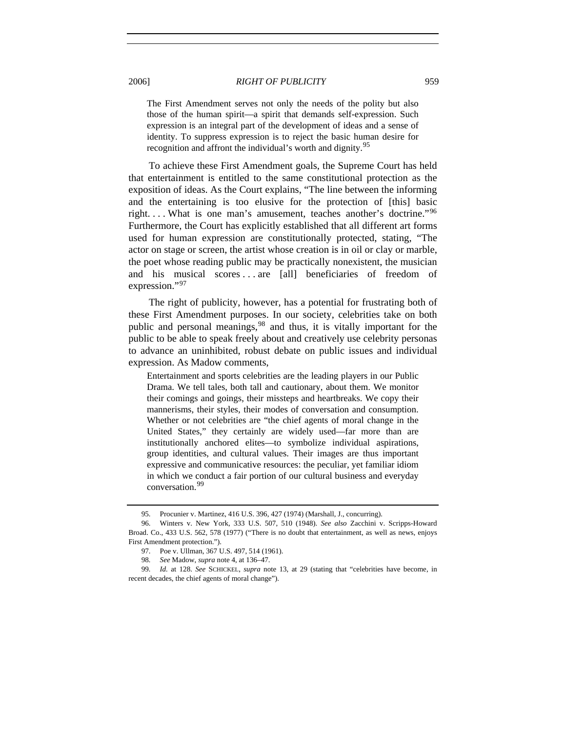The First Amendment serves not only the needs of the polity but also those of the human spirit—a spirit that demands self-expression. Such expression is an integral part of the development of ideas and a sense of identity. To suppress expression is to reject the basic human desire for recognition and affront the individual's worth and dignity.<sup>[95](#page-14-0)</sup>

To achieve these First Amendment goals, the Supreme Court has held that entertainment is entitled to the same constitutional protection as the exposition of ideas. As the Court explains, "The line between the informing and the entertaining is too elusive for the protection of [this] basic right. . . . What is one man's amusement, teaches another's doctrine."[96](#page-14-1) Furthermore, the Court has explicitly established that all different art forms used for human expression are constitutionally protected, stating, "The actor on stage or screen, the artist whose creation is in oil or clay or marble, the poet whose reading public may be practically nonexistent, the musician and his musical scores . . . are [all] beneficiaries of freedom of expression."[97](#page-14-2)

The right of publicity, however, has a potential for frustrating both of these First Amendment purposes. In our society, celebrities take on both public and personal meanings,<sup>[98](#page-14-3)</sup> and thus, it is vitally important for the public to be able to speak freely about and creatively use celebrity personas to advance an uninhibited, robust debate on public issues and individual expression. As Madow comments,

Entertainment and sports celebrities are the leading players in our Public Drama. We tell tales, both tall and cautionary, about them. We monitor their comings and goings, their missteps and heartbreaks. We copy their mannerisms, their styles, their modes of conversation and consumption. Whether or not celebrities are "the chief agents of moral change in the United States," they certainly are widely used—far more than are institutionally anchored elites—to symbolize individual aspirations, group identities, and cultural values. Their images are thus important expressive and communicative resources: the peculiar, yet familiar idiom in which we conduct a fair portion of our cultural business and everyday conversation.<sup>[99](#page-14-4)</sup>

 <sup>95.</sup> Procunier v. Martinez, 416 U.S. 396, 427 (1974) (Marshall, J., concurring).

<span id="page-14-1"></span><span id="page-14-0"></span> <sup>96.</sup> Winters v. New York, 333 U.S. 507, 510 (1948). *See also* Zacchini v. Scripps-Howard Broad. Co., 433 U.S. 562, 578 (1977) ("There is no doubt that entertainment, as well as news, enjoys First Amendment protection.").

 <sup>97.</sup> Poe v. Ullman, 367 U.S. 497, 514 (1961).

<sup>98</sup>*. See* Madow, *supra* note 4, at 136–47.

<span id="page-14-4"></span><span id="page-14-3"></span><span id="page-14-2"></span><sup>99</sup>*. Id.* at 128. *See* SCHICKEL, *supra* note 13, at 29 (stating that "celebrities have become, in recent decades, the chief agents of moral change").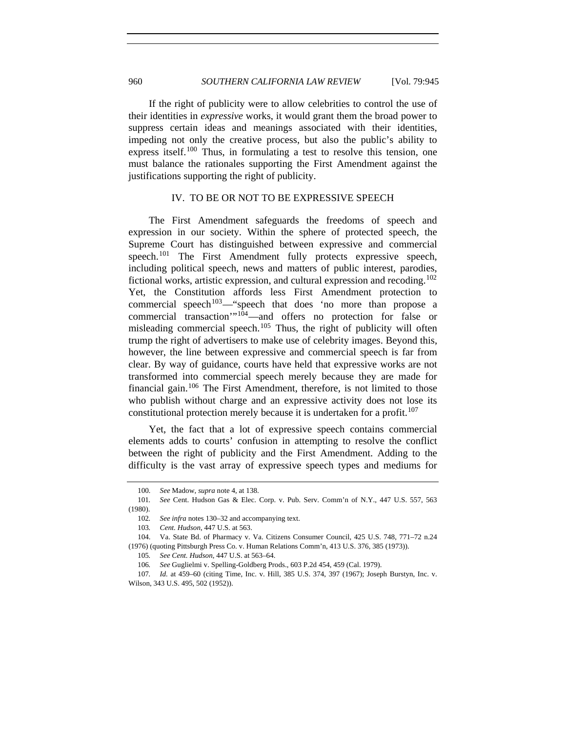If the right of publicity were to allow celebrities to control the use of their identities in *expressive* works, it would grant them the broad power to suppress certain ideas and meanings associated with their identities, impeding not only the creative process, but also the public's ability to express itself.<sup>[100](#page-15-0)</sup> Thus, in formulating a test to resolve this tension, one must balance the rationales supporting the First Amendment against the justifications supporting the right of publicity.

## IV. TO BE OR NOT TO BE EXPRESSIVE SPEECH

The First Amendment safeguards the freedoms of speech and expression in our society. Within the sphere of protected speech, the Supreme Court has distinguished between expressive and commercial speech.<sup>[101](#page-15-1)</sup> The First Amendment fully protects expressive speech, including political speech, news and matters of public interest, parodies, fictional works, artistic expression, and cultural expression and recoding.[102](#page-15-2) Yet, the Constitution affords less First Amendment protection to commercial speech<sup>[103](#page-15-3)</sup>—"speech that does 'no more than propose a commercial transaction'"[104](#page-15-4)—and offers no protection for false or misleading commercial speech.<sup>[105](#page-15-5)</sup> Thus, the right of publicity will often trump the right of advertisers to make use of celebrity images. Beyond this, however, the line between expressive and commercial speech is far from clear. By way of guidance, courts have held that expressive works are not transformed into commercial speech merely because they are made for financial gain.[106](#page-15-6) The First Amendment, therefore, is not limited to those who publish without charge and an expressive activity does not lose its constitutional protection merely because it is undertaken for a profit.<sup>[107](#page-15-7)</sup>

Yet, the fact that a lot of expressive speech contains commercial elements adds to courts' confusion in attempting to resolve the conflict between the right of publicity and the First Amendment. Adding to the difficulty is the vast array of expressive speech types and mediums for

<sup>100</sup>*. See* Madow, *supra* note 4, at 138.

<span id="page-15-2"></span><span id="page-15-1"></span><span id="page-15-0"></span><sup>101</sup>*. See* Cent. Hudson Gas & Elec. Corp. v. Pub. Serv. Comm'n of N.Y., 447 U.S. 557, 563 (1980).

<sup>102</sup>*. See infra* notes 130–32 and accompanying text.

<sup>103</sup>*. Cent. Hudson*, 447 U.S. at 563.

<span id="page-15-5"></span><span id="page-15-4"></span><span id="page-15-3"></span> <sup>104.</sup> Va. State Bd. of Pharmacy v. Va. Citizens Consumer Council, 425 U.S. 748, 771–72 n.24 (1976) (quoting Pittsburgh Press Co. v. Human Relations Comm'n, 413 U.S. 376, 385 (1973)).

<sup>105</sup>*. See Cent. Hudson*, 447 U.S. at 563–64.

<sup>106</sup>*. See* Guglielmi v. Spelling-Goldberg Prods., 603 P.2d 454, 459 (Cal. 1979).

<span id="page-15-7"></span><span id="page-15-6"></span><sup>107</sup>*. Id.* at 459–60 (citing Time, Inc. v. Hill, 385 U.S. 374, 397 (1967); Joseph Burstyn, Inc. v. Wilson, 343 U.S. 495, 502 (1952)).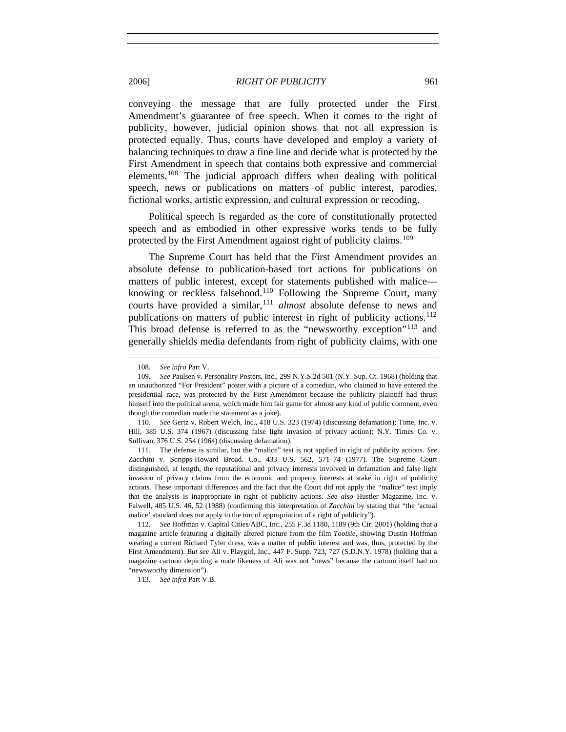conveying the message that are fully protected under the First Amendment's guarantee of free speech. When it comes to the right of publicity, however, judicial opinion shows that not all expression is protected equally. Thus, courts have developed and employ a variety of balancing techniques to draw a fine line and decide what is protected by the First Amendment in speech that contains both expressive and commercial elements.<sup>[108](#page-16-0)</sup> The judicial approach differs when dealing with political speech, news or publications on matters of public interest, parodies, fictional works, artistic expression, and cultural expression or recoding.

Political speech is regarded as the core of constitutionally protected speech and as embodied in other expressive works tends to be fully protected by the First Amendment against right of publicity claims.<sup>[109](#page-16-1)</sup>

The Supreme Court has held that the First Amendment provides an absolute defense to publication-based tort actions for publications on matters of public interest, except for statements published with malice— knowing or reckless falsehood.<sup>[110](#page-16-2)</sup> Following the Supreme Court, many courts have provided a similar,<sup>[111](#page-16-3)</sup> *almost* absolute defense to news and publications on matters of public interest in right of publicity actions.<sup>[112](#page-16-4)</sup> This broad defense is referred to as the "newsworthy exception"<sup>[113](#page-16-5)</sup> and generally shields media defendants from right of publicity claims, with one

<span id="page-16-3"></span> 111. The defense is similar, but the "malice" test is not applied in right of publicity actions. *See* Zacchini v. Scripps-Howard Broad. Co., 433 U.S. 562, 571–74 (1977). The Supreme Court distinguished, at length, the reputational and privacy interests involved in defamation and false light invasion of privacy claims from the economic and property interests at stake in right of publicity actions. These important differences and the fact that the Court did not apply the "malice" test imply that the analysis is inappropriate in right of publicity actions. *See also* Hustler Magazine, Inc. v. Falwell, 485 U.S. 46, 52 (1988) (confirming this interpretation of *Zacchini* by stating that "the 'actual malice' standard does not apply to the tort of appropriation of a right of publicity").

<span id="page-16-5"></span><span id="page-16-4"></span>112*. See* Hoffman v. Capital Cities/ABC, Inc., 255 F.3d 1180, 1189 (9th Cir. 2001) (holding that a magazine article featuring a digitally altered picture from the film *Tootsie*, showing Dustin Hoffman wearing a current Richard Tyler dress, was a matter of public interest and was, thus, protected by the First Amendment). *But see* Ali v. Playgirl, Inc., 447 F. Supp. 723, 727 (S.D.N.Y. 1978) (holding that a magazine cartoon depicting a nude likeness of Ali was not "news" because the cartoon itself had no "newsworthy dimension").

113*. See infra* Part V.B.

<sup>108</sup>*. See infra* Part V.

<span id="page-16-1"></span><span id="page-16-0"></span><sup>109</sup>*. See* Paulsen v. Personality Posters, Inc., 299 N.Y.S.2d 501 (N.Y. Sup. Ct. 1968) (holding that an unauthorized "For President" poster with a picture of a comedian, who claimed to have entered the presidential race, was protected by the First Amendment because the publicity plaintiff had thrust himself into the political arena, which made him fair game for almost any kind of public comment, even though the comedian made the statement as a joke).

<span id="page-16-2"></span><sup>110</sup>*. See* Gertz v. Robert Welch, Inc., 418 U.S. 323 (1974) (discussing defamation); Time, Inc. v. Hill, 385 U.S. 374 (1967) (discussing false light invasion of privacy action); N.Y. Times Co. v. Sullivan, 376 U.S. 254 (1964) (discussing defamation).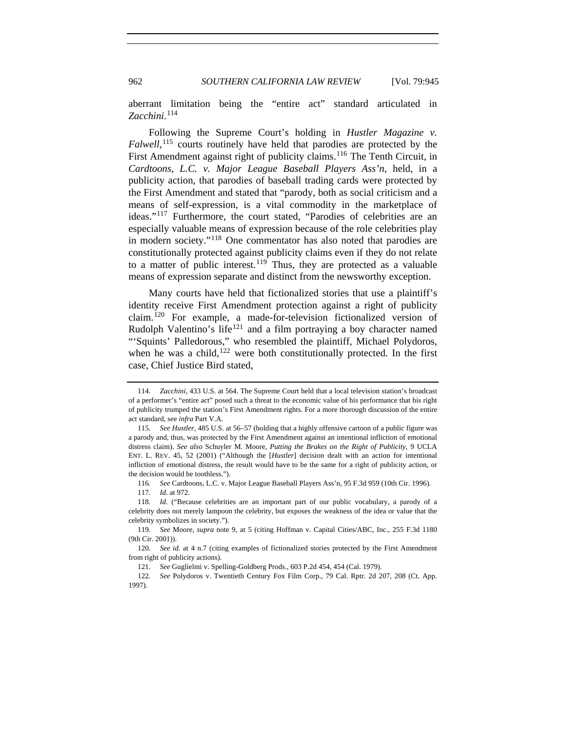962 *SOUTHERN CALIFORNIA LAW REVIEW* [Vol. 79:945

aberrant limitation being the "entire act" standard articulated in *Zacchini*. [114](#page-17-0)

Following the Supreme Court's holding in *Hustler Magazine v. Falwell*, [115](#page-17-1) courts routinely have held that parodies are protected by the First Amendment against right of publicity claims.<sup>[116](#page-17-2)</sup> The Tenth Circuit, in *Cardtoons, L.C. v. Major League Baseball Players Ass'n*, held, in a publicity action, that parodies of baseball trading cards were protected by the First Amendment and stated that "parody, both as social criticism and a means of self-expression, is a vital commodity in the marketplace of ideas."[117](#page-17-3) Furthermore, the court stated, "Parodies of celebrities are an especially valuable means of expression because of the role celebrities play in modern society."[118](#page-17-4) One commentator has also noted that parodies are constitutionally protected against publicity claims even if they do not relate to a matter of public interest.<sup>[119](#page-17-5)</sup> Thus, they are protected as a valuable means of expression separate and distinct from the newsworthy exception.

Many courts have held that fictionalized stories that use a plaintiff's identity receive First Amendment protection against a right of publicity claim.[120](#page-17-6) For example, a made-for-television fictionalized version of Rudolph Valentino's life<sup>[121](#page-17-7)</sup> and a film portraying a boy character named "'Squints' Palledorous," who resembled the plaintiff, Michael Polydoros, when he was a child, $122$  were both constitutionally protected. In the first case, Chief Justice Bird stated,

<span id="page-17-0"></span><sup>114</sup>*. Zacchini*, 433 U.S. at 564. The Supreme Court held that a local television station's broadcast of a performer's "entire act" posed such a threat to the economic value of his performance that his right of publicity trumped the station's First Amendment rights. For a more thorough discussion of the entire act standard, see *infra* Part V.A.

<span id="page-17-1"></span><sup>115</sup>*. See Hustler*, 485 U.S. at 56–57 (holding that a highly offensive cartoon of a public figure was a parody and, thus, was protected by the First Amendment against an intentional infliction of emotional distress claim). *See also* Schuyler M. Moore, *Putting the Brakes on the Right of Publicity*, 9 UCLA ENT. L. REV. 45, 52 (2001) ("Although the [*Hustler*] decision dealt with an action for intentional infliction of emotional distress, the result would have to be the same for a right of publicity action, or the decision would be toothless.").

<sup>116</sup>*. See* Cardtoons, L.C. v. Major League Baseball Players Ass'n, 95 F.3d 959 (10th Cir. 1996).

<sup>117</sup>*. Id.* at 972.

<span id="page-17-4"></span><span id="page-17-3"></span><span id="page-17-2"></span><sup>118</sup>*. Id.* ("Because celebrities are an important part of our public vocabulary, a parody of a celebrity does not merely lampoon the celebrity, but exposes the weakness of the idea or value that the celebrity symbolizes in society.").

<span id="page-17-5"></span><sup>119</sup>*. See* Moore, *supra* note 9, at 5 (citing Hoffman v. Capital Cities/ABC, Inc., 255 F.3d 1180 (9th Cir. 2001)).

<span id="page-17-6"></span><sup>120</sup>*. See id.* at 4 n.7 (citing examples of fictionalized stories protected by the First Amendment from right of publicity actions).

<sup>121</sup>*. See* Guglielmi v. Spelling-Goldberg Prods., 603 P.2d 454, 454 (Cal. 1979).

<span id="page-17-8"></span><span id="page-17-7"></span><sup>122</sup>*. See* Polydoros v. Twentieth Century Fox Film Corp., 79 Cal. Rptr. 2d 207, 208 (Ct. App. 1997).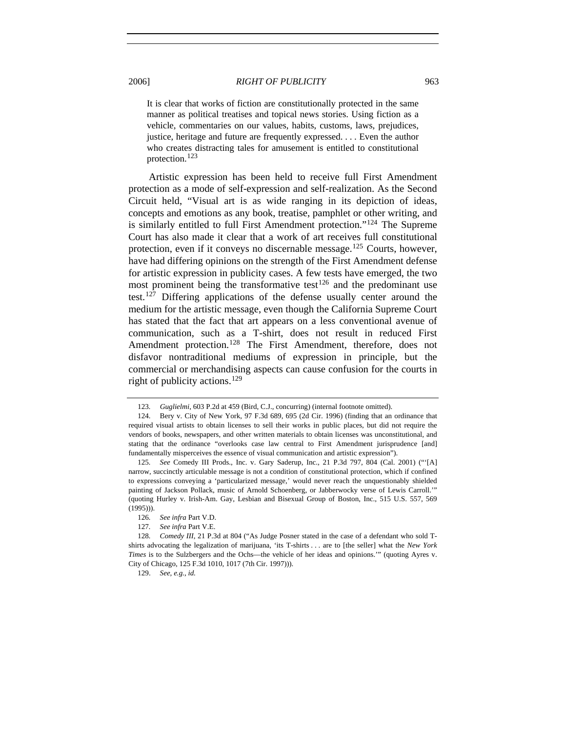It is clear that works of fiction are constitutionally protected in the same manner as political treatises and topical news stories. Using fiction as a vehicle, commentaries on our values, habits, customs, laws, prejudices, justice, heritage and future are frequently expressed. . . . Even the author who creates distracting tales for amusement is entitled to constitutional protection.<sup>[123](#page-18-0)</sup>

Artistic expression has been held to receive full First Amendment protection as a mode of self-expression and self-realization. As the Second Circuit held, "Visual art is as wide ranging in its depiction of ideas, concepts and emotions as any book, treatise, pamphlet or other writing, and is similarly entitled to full First Amendment protection."[124](#page-18-1) The Supreme Court has also made it clear that a work of art receives full constitutional protection, even if it conveys no discernable message.<sup>[125](#page-18-2)</sup> Courts, however, have had differing opinions on the strength of the First Amendment defense for artistic expression in publicity cases. A few tests have emerged, the two most prominent being the transformative test<sup>[126](#page-18-3)</sup> and the predominant use test.[127](#page-18-4) Differing applications of the defense usually center around the medium for the artistic message, even though the California Supreme Court has stated that the fact that art appears on a less conventional avenue of communication, such as a T-shirt, does not result in reduced First Amendment protection.<sup>[128](#page-18-5)</sup> The First Amendment, therefore, does not disfavor nontraditional mediums of expression in principle, but the commercial or merchandising aspects can cause confusion for the courts in right of publicity actions.<sup>[129](#page-18-6)</sup>

<sup>123</sup>*. Guglielmi*, 603 P.2d at 459 (Bird, C.J., concurring) (internal footnote omitted).

<span id="page-18-1"></span><span id="page-18-0"></span> <sup>124.</sup> Bery v. City of New York, 97 F.3d 689, 695 (2d Cir. 1996) (finding that an ordinance that required visual artists to obtain licenses to sell their works in public places, but did not require the vendors of books, newspapers, and other written materials to obtain licenses was unconstitutional, and stating that the ordinance "overlooks case law central to First Amendment jurisprudence [and] fundamentally misperceives the essence of visual communication and artistic expression").

<span id="page-18-2"></span><sup>125</sup>*. See* Comedy III Prods., Inc. v. Gary Saderup, Inc., 21 P.3d 797, 804 (Cal. 2001) ("'[A] narrow, succinctly articulable message is not a condition of constitutional protection, which if confined to expressions conveying a 'particularized message,' would never reach the unquestionably shielded painting of Jackson Pollack, music of Arnold Schoenberg, or Jabberwocky verse of Lewis Carroll.'" (quoting Hurley v. Irish-Am. Gay, Lesbian and Bisexual Group of Boston, Inc., 515 U.S. 557, 569 (1995))).

<sup>126</sup>*. See infra* Part V.D.

<sup>127</sup>*. See infra* Part V.E.

<span id="page-18-6"></span><span id="page-18-5"></span><span id="page-18-4"></span><span id="page-18-3"></span><sup>128</sup>*. Comedy III*, 21 P.3d at 804 ("As Judge Posner stated in the case of a defendant who sold Tshirts advocating the legalization of marijuana, 'its T-shirts . . . are to [the seller] what the *New York Times* is to the Sulzbergers and the Ochs—the vehicle of her ideas and opinions.'" (quoting Ayres v. City of Chicago, 125 F.3d 1010, 1017 (7th Cir. 1997))).

 <sup>129.</sup> *See, e.g.*, *id.*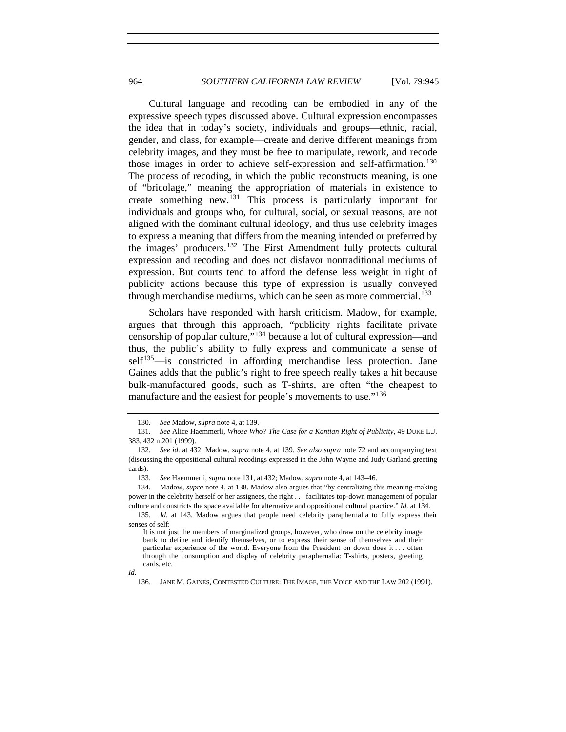Cultural language and recoding can be embodied in any of the expressive speech types discussed above. Cultural expression encompasses the idea that in today's society, individuals and groups—ethnic, racial, gender, and class, for example—create and derive different meanings from celebrity images, and they must be free to manipulate, rework, and recode those images in order to achieve self-expression and self-affirmation.<sup>[130](#page-19-0)</sup> The process of recoding, in which the public reconstructs meaning, is one of "bricolage," meaning the appropriation of materials in existence to create something new.[131](#page-19-1) This process is particularly important for individuals and groups who, for cultural, social, or sexual reasons, are not aligned with the dominant cultural ideology, and thus use celebrity images to express a meaning that differs from the meaning intended or preferred by the images' producers.<sup>[132](#page-19-2)</sup> The First Amendment fully protects cultural expression and recoding and does not disfavor nontraditional mediums of expression. But courts tend to afford the defense less weight in right of publicity actions because this type of expression is usually conveyed through merchandise mediums, which can be seen as more commercial.<sup>[133](#page-19-3)</sup>

Scholars have responded with harsh criticism. Madow, for example, argues that through this approach, "publicity rights facilitate private censorship of popular culture,"[134](#page-19-4) because a lot of cultural expression—and thus, the public's ability to fully express and communicate a sense of self<sup>[135](#page-19-5)</sup>—is constricted in affording merchandise less protection. Jane Gaines adds that the public's right to free speech really takes a hit because bulk-manufactured goods, such as T-shirts, are often "the cheapest to manufacture and the easiest for people's movements to use."<sup>[136](#page-19-6)</sup>

<sup>130</sup>*. See* Madow, *supra* note 4, at 139.

<span id="page-19-1"></span><span id="page-19-0"></span><sup>131</sup>*. See* Alice Haemmerli, *Whose Who? The Case for a Kantian Right of Publicity*, 49 DUKE L.J. 383, 432 n.201 (1999).

<span id="page-19-2"></span><sup>132</sup>*. See id*. at 432; Madow, *supra* note 4, at 139. *See also supra* note 72 and accompanying text (discussing the oppositional cultural recodings expressed in the John Wayne and Judy Garland greeting cards).

<sup>133</sup>*. See* Haemmerli, *supra* note 131, at 432; Madow, *supra* note 4, at 143–46.

<span id="page-19-4"></span><span id="page-19-3"></span> <sup>134.</sup> Madow, *supra* note 4, at 138. Madow also argues that "by centralizing this meaning-making power in the celebrity herself or her assignees, the right . . . facilitates top-down management of popular culture and constricts the space available for alternative and oppositional cultural practice." *Id.* at 134.

<span id="page-19-5"></span><sup>135</sup>*. Id.* at 143. Madow argues that people need celebrity paraphernalia to fully express their senses of self:

It is not just the members of marginalized groups, however, who draw on the celebrity image bank to define and identify themselves, or to express their sense of themselves and their particular experience of the world. Everyone from the President on down does it . . . often through the consumption and display of celebrity paraphernalia: T-shirts, posters, greeting cards, etc.

<span id="page-19-6"></span>*Id.* 

 <sup>136.</sup> JANE M. GAINES, CONTESTED CULTURE: THE IMAGE, THE VOICE AND THE LAW 202 (1991).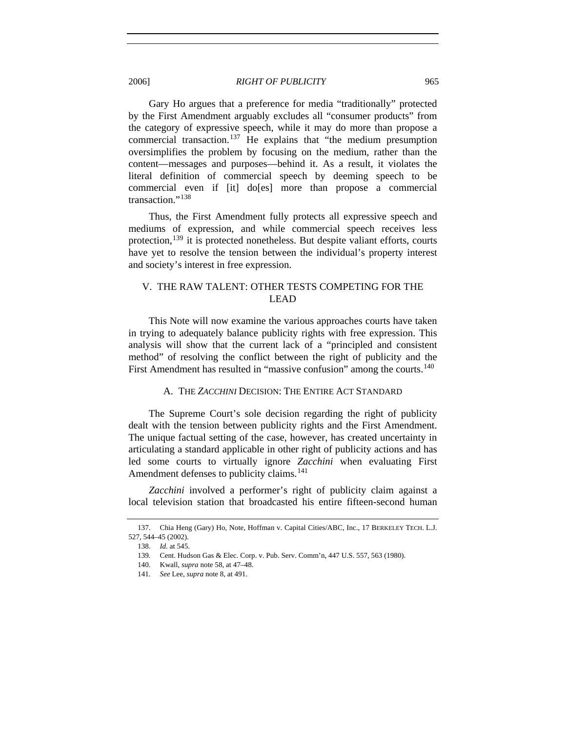Gary Ho argues that a preference for media "traditionally" protected by the First Amendment arguably excludes all "consumer products" from the category of expressive speech, while it may do more than propose a commercial transaction.<sup>[137](#page-20-0)</sup> He explains that "the medium presumption oversimplifies the problem by focusing on the medium, rather than the content—messages and purposes—behind it. As a result, it violates the literal definition of commercial speech by deeming speech to be commercial even if [it] do[es] more than propose a commercial transaction."[138](#page-20-1)

Thus, the First Amendment fully protects all expressive speech and mediums of expression, and while commercial speech receives less protection,  $^{139}$  $^{139}$  $^{139}$  it is protected nonetheless. But despite valiant efforts, courts have yet to resolve the tension between the individual's property interest and society's interest in free expression.

# V. THE RAW TALENT: OTHER TESTS COMPETING FOR THE LEAD

This Note will now examine the various approaches courts have taken in trying to adequately balance publicity rights with free expression. This analysis will show that the current lack of a "principled and consistent method" of resolving the conflict between the right of publicity and the First Amendment has resulted in "massive confusion" among the courts.<sup>[140](#page-20-3)</sup>

## A. THE *ZACCHINI* DECISION: THE ENTIRE ACT STANDARD

The Supreme Court's sole decision regarding the right of publicity dealt with the tension between publicity rights and the First Amendment. The unique factual setting of the case, however, has created uncertainty in articulating a standard applicable in other right of publicity actions and has led some courts to virtually ignore *Zacchini* when evaluating First Amendment defenses to publicity claims.<sup>[141](#page-20-4)</sup>

*Zacchini* involved a performer's right of publicity claim against a local television station that broadcasted his entire fifteen-second human

<span id="page-20-4"></span><span id="page-20-3"></span><span id="page-20-2"></span><span id="page-20-1"></span><span id="page-20-0"></span> <sup>137.</sup> Chia Heng (Gary) Ho, Note, Hoffman v. Capital Cities/ABC, Inc., 17 BERKELEY TECH. L.J. 527, 544–45 (2002).

 <sup>138.</sup> *Id.* at 545.

<sup>139</sup>*.* Cent. Hudson Gas & Elec. Corp. v. Pub. Serv. Comm'n, 447 U.S. 557, 563 (1980).

 <sup>140.</sup> Kwall, *supra* note 58, at 47–48.

<sup>141</sup>*. See* Lee, *supra* note 8, at 491.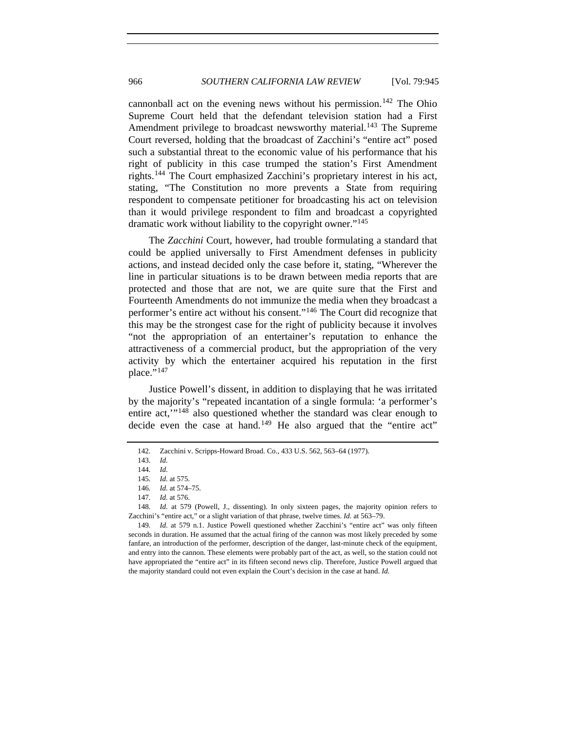cannonball act on the evening news without his permission.<sup>[142](#page-21-0)</sup> The Ohio Supreme Court held that the defendant television station had a First Amendment privilege to broadcast newsworthy material.<sup>[143](#page-21-1)</sup> The Supreme Court reversed, holding that the broadcast of Zacchini's "entire act" posed such a substantial threat to the economic value of his performance that his right of publicity in this case trumped the station's First Amendment rights.[144](#page-21-2) The Court emphasized Zacchini's proprietary interest in his act, stating, "The Constitution no more prevents a State from requiring respondent to compensate petitioner for broadcasting his act on television than it would privilege respondent to film and broadcast a copyrighted dramatic work without liability to the copyright owner."<sup>[145](#page-21-3)</sup>

The *Zacchini* Court, however, had trouble formulating a standard that could be applied universally to First Amendment defenses in publicity actions, and instead decided only the case before it, stating, "Wherever the line in particular situations is to be drawn between media reports that are protected and those that are not, we are quite sure that the First and Fourteenth Amendments do not immunize the media when they broadcast a performer's entire act without his consent."[146](#page-21-4) The Court did recognize that this may be the strongest case for the right of publicity because it involves "not the appropriation of an entertainer's reputation to enhance the attractiveness of a commercial product, but the appropriation of the very activity by which the entertainer acquired his reputation in the first place." $147$ 

Justice Powell's dissent, in addition to displaying that he was irritated by the majority's "repeated incantation of a single formula: 'a performer's entire act,'"[148](#page-21-6) also questioned whether the standard was clear enough to decide even the case at hand.<sup>[149](#page-21-7)</sup> He also argued that the "entire act"

<span id="page-21-1"></span><span id="page-21-0"></span><sup>142</sup>*.* Zacchini v. Scripps-Howard Broad. Co., 433 U.S. 562, 563–64 (1977).

<sup>143</sup>*. Id.*

<sup>144</sup>*. Id.*

<sup>145</sup>*. Id.* at 575.

<sup>146</sup>*. Id.* at 574–75.

<sup>147</sup>*. Id.* at 576.

<span id="page-21-6"></span><span id="page-21-5"></span><span id="page-21-4"></span><span id="page-21-3"></span><span id="page-21-2"></span><sup>148</sup>*. Id.* at 579 (Powell, J., dissenting). In only sixteen pages, the majority opinion refers to Zacchini's "entire act," or a slight variation of that phrase, twelve times. *Id.* at 563–79.

<span id="page-21-7"></span><sup>149</sup>*. Id.* at 579 n.1. Justice Powell questioned whether Zacchini's "entire act" was only fifteen seconds in duration. He assumed that the actual firing of the cannon was most likely preceded by some fanfare, an introduction of the performer, description of the danger, last-minute check of the equipment, and entry into the cannon. These elements were probably part of the act, as well, so the station could not have appropriated the "entire act" in its fifteen second news clip. Therefore, Justice Powell argued that the majority standard could not even explain the Court's decision in the case at hand. *Id.*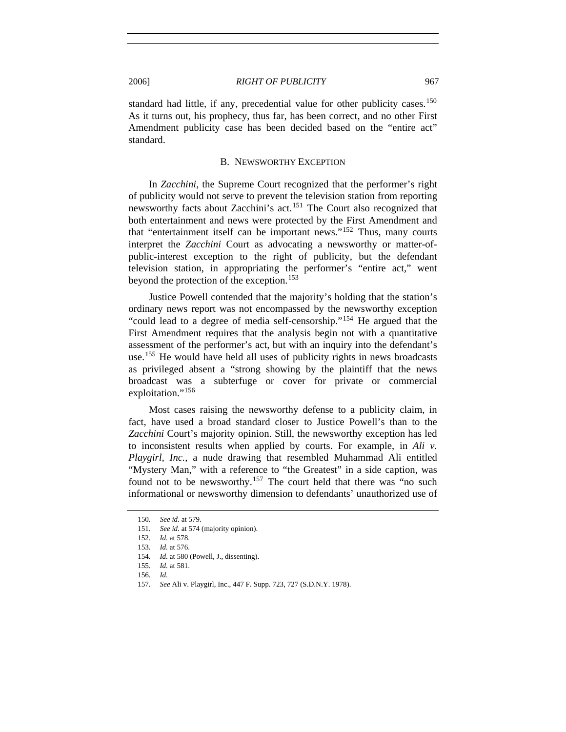standard had little, if any, precedential value for other publicity cases.<sup>[150](#page-22-0)</sup> As it turns out, his prophecy, thus far, has been correct, and no other First Amendment publicity case has been decided based on the "entire act" standard.

#### B. NEWSWORTHY EXCEPTION

In *Zacchini*, the Supreme Court recognized that the performer's right of publicity would not serve to prevent the television station from reporting newsworthy facts about Zacchini's act.[151](#page-22-1) The Court also recognized that both entertainment and news were protected by the First Amendment and that "entertainment itself can be important news."[152](#page-22-2) Thus, many courts interpret the *Zacchini* Court as advocating a newsworthy or matter-ofpublic-interest exception to the right of publicity, but the defendant television station, in appropriating the performer's "entire act," went beyond the protection of the exception.<sup>[153](#page-22-3)</sup>

Justice Powell contended that the majority's holding that the station's ordinary news report was not encompassed by the newsworthy exception "could lead to a degree of media self-censorship."[154](#page-22-4) He argued that the First Amendment requires that the analysis begin not with a quantitative assessment of the performer's act, but with an inquiry into the defendant's use.<sup>[155](#page-22-5)</sup> He would have held all uses of publicity rights in news broadcasts as privileged absent a "strong showing by the plaintiff that the news broadcast was a subterfuge or cover for private or commercial exploitation."<sup>[156](#page-22-6)</sup>

Most cases raising the newsworthy defense to a publicity claim, in fact, have used a broad standard closer to Justice Powell's than to the *Zacchini* Court's majority opinion. Still, the newsworthy exception has led to inconsistent results when applied by courts. For example, in *Ali v. Playgirl, Inc.*, a nude drawing that resembled Muhammad Ali entitled "Mystery Man," with a reference to "the Greatest" in a side caption, was found not to be newsworthy.<sup>[157](#page-22-7)</sup> The court held that there was "no such informational or newsworthy dimension to defendants' unauthorized use of

<sup>150</sup>*. See id.* at 579.

<span id="page-22-3"></span><span id="page-22-2"></span><span id="page-22-1"></span><span id="page-22-0"></span><sup>151</sup>*. See id.* at 574 (majority opinion).

<sup>152</sup>*. Id.* at 578.

<sup>153</sup>*. Id.* at 576.

<sup>154</sup>*. Id.* at 580 (Powell, J., dissenting).

<span id="page-22-6"></span><span id="page-22-5"></span><span id="page-22-4"></span><sup>155</sup>*. Id.* at 581.

<span id="page-22-7"></span><sup>156</sup>*. Id.*

<sup>157</sup>*. See* Ali v. Playgirl, Inc., 447 F. Supp. 723, 727 (S.D.N.Y. 1978).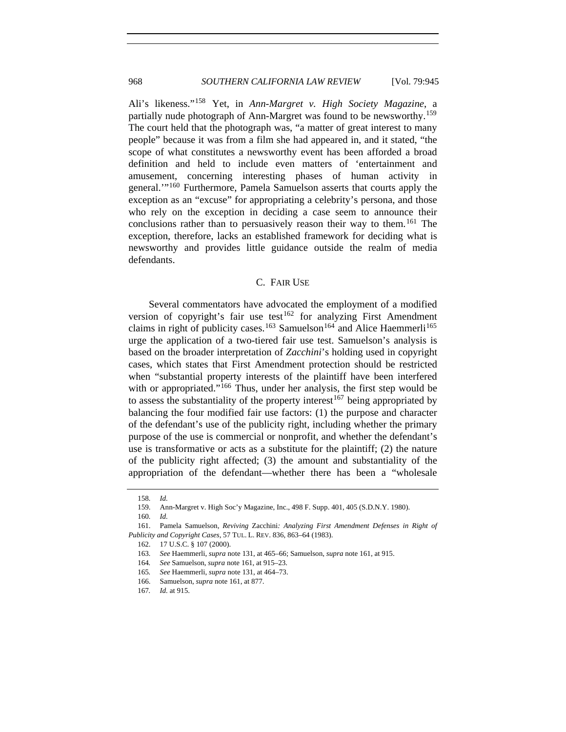Ali's likeness."[158](#page-23-0) Yet, in *Ann-Margret v. High Society Magazine*, a partially nude photograph of Ann-Margret was found to be newsworthy.<sup>[159](#page-23-1)</sup> The court held that the photograph was, "a matter of great interest to many people" because it was from a film she had appeared in, and it stated, "the scope of what constitutes a newsworthy event has been afforded a broad definition and held to include even matters of 'entertainment and amusement, concerning interesting phases of human activity in general.'"[160](#page-23-2) Furthermore, Pamela Samuelson asserts that courts apply the exception as an "excuse" for appropriating a celebrity's persona, and those who rely on the exception in deciding a case seem to announce their conclusions rather than to persuasively reason their way to them.<sup>[161](#page-23-3)</sup> The exception, therefore, lacks an established framework for deciding what is newsworthy and provides little guidance outside the realm of media defendants.

# C. FAIR USE

Several commentators have advocated the employment of a modified version of copyright's fair use test<sup>[162](#page-23-4)</sup> for analyzing First Amendment claims in right of publicity cases.<sup>[163](#page-23-5)</sup> Samuelson<sup>[164](#page-23-6)</sup> and Alice Haemmerli<sup>[165](#page-23-7)</sup> urge the application of a two-tiered fair use test. Samuelson's analysis is based on the broader interpretation of *Zacchini*'s holding used in copyright cases, which states that First Amendment protection should be restricted when "substantial property interests of the plaintiff have been interfered with or appropriated."<sup>[166](#page-23-8)</sup> Thus, under her analysis, the first step would be to assess the substantiality of the property interest<sup>[167](#page-23-9)</sup> being appropriated by balancing the four modified fair use factors: (1) the purpose and character of the defendant's use of the publicity right, including whether the primary purpose of the use is commercial or nonprofit, and whether the defendant's use is transformative or acts as a substitute for the plaintiff; (2) the nature of the publicity right affected; (3) the amount and substantiality of the appropriation of the defendant—whether there has been a "wholesale

<sup>158</sup>*. Id.*

 <sup>159.</sup> Ann-Margret v. High Soc'y Magazine, Inc., 498 F. Supp. 401, 405 (S.D.N.Y. 1980).

<sup>160</sup>*. Id.*

<span id="page-23-7"></span><span id="page-23-6"></span><span id="page-23-5"></span><span id="page-23-4"></span><span id="page-23-3"></span><span id="page-23-2"></span><span id="page-23-1"></span><span id="page-23-0"></span> <sup>161.</sup> Pamela Samuelson, *Reviving* Zacchini*: Analyzing First Amendment Defenses in Right of Publicity and Copyright Cases*, 57 TUL. L. REV. 836, 863–64 (1983).

 <sup>162. 17</sup> U.S.C. § 107 (2000).

<sup>163</sup>*. See* Haemmerli, *supra* note 131, at 465–66; Samuelson, *supra* note 161, at 915.

<sup>164</sup>*. See* Samuelson, *supra* note 161, at 915–23.

<sup>165</sup>*. See* Haemmerli, *supra* note 131, at 464–73.

<span id="page-23-8"></span> <sup>166.</sup> Samuelson, *supra* note 161, at 877.

<span id="page-23-9"></span><sup>167</sup>*. Id.* at 915.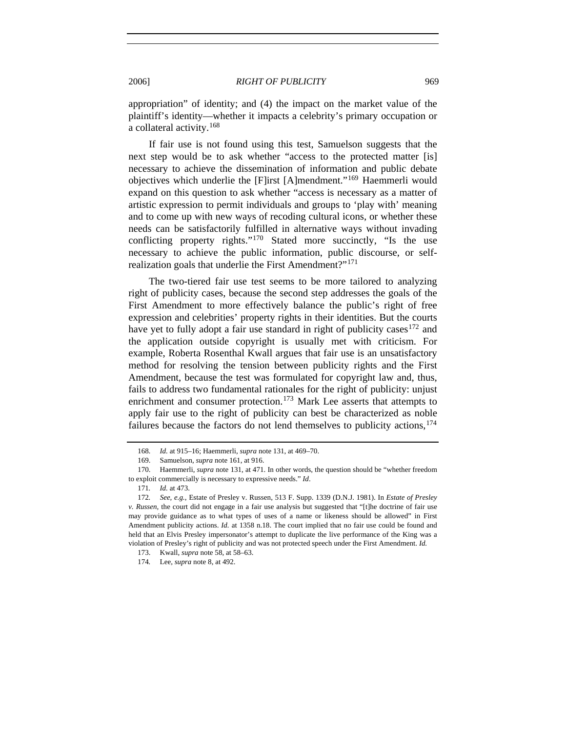appropriation" of identity; and (4) the impact on the market value of the plaintiff's identity—whether it impacts a celebrity's primary occupation or a collateral activity.[168](#page-24-0)

If fair use is not found using this test, Samuelson suggests that the next step would be to ask whether "access to the protected matter [is] necessary to achieve the dissemination of information and public debate objectives which underlie the [F]irst [A]mendment."[169](#page-24-1) Haemmerli would expand on this question to ask whether "access is necessary as a matter of artistic expression to permit individuals and groups to 'play with' meaning and to come up with new ways of recoding cultural icons, or whether these needs can be satisfactorily fulfilled in alternative ways without invading conflicting property rights."[170](#page-24-2) Stated more succinctly, "Is the use necessary to achieve the public information, public discourse, or self-realization goals that underlie the First Amendment?"<sup>[171](#page-24-3)</sup>

The two-tiered fair use test seems to be more tailored to analyzing right of publicity cases, because the second step addresses the goals of the First Amendment to more effectively balance the public's right of free expression and celebrities' property rights in their identities. But the courts have yet to fully adopt a fair use standard in right of publicity cases  $172$  and the application outside copyright is usually met with criticism. For example, Roberta Rosenthal Kwall argues that fair use is an unsatisfactory method for resolving the tension between publicity rights and the First Amendment, because the test was formulated for copyright law and, thus, fails to address two fundamental rationales for the right of publicity: unjust enrichment and consumer protection.<sup>[173](#page-24-5)</sup> Mark Lee asserts that attempts to apply fair use to the right of publicity can best be characterized as noble failures because the factors do not lend themselves to publicity actions,  $174$ 

<sup>168</sup>*. Id.* at 915–16; Haemmerli, *supra* note 131, at 469–70.

 <sup>169.</sup> Samuelson, *supra* note 161, at 916.

<span id="page-24-2"></span><span id="page-24-1"></span><span id="page-24-0"></span> <sup>170.</sup> Haemmerli, *supra* note 131, at 471. In other words, the question should be "whether freedom to exploit commercially is necessary to expressive needs." *Id*.

<sup>171</sup>*. Id.* at 473.

<span id="page-24-4"></span><span id="page-24-3"></span><sup>172</sup>*. See, e.g.*, Estate of Presley v. Russen, 513 F. Supp. 1339 (D.N.J. 1981). In *Estate of Presley v. Russen*, the court did not engage in a fair use analysis but suggested that "[t]he doctrine of fair use may provide guidance as to what types of uses of a name or likeness should be allowed" in First Amendment publicity actions. *Id.* at 1358 n.18. The court implied that no fair use could be found and held that an Elvis Presley impersonator's attempt to duplicate the live performance of the King was a violation of Presley's right of publicity and was not protected speech under the First Amendment. *Id.*

<span id="page-24-5"></span> <sup>173.</sup> Kwall, *supra* note 58, at 58–63.

<span id="page-24-6"></span><sup>174</sup>*.* Lee, *supra* note 8, at 492.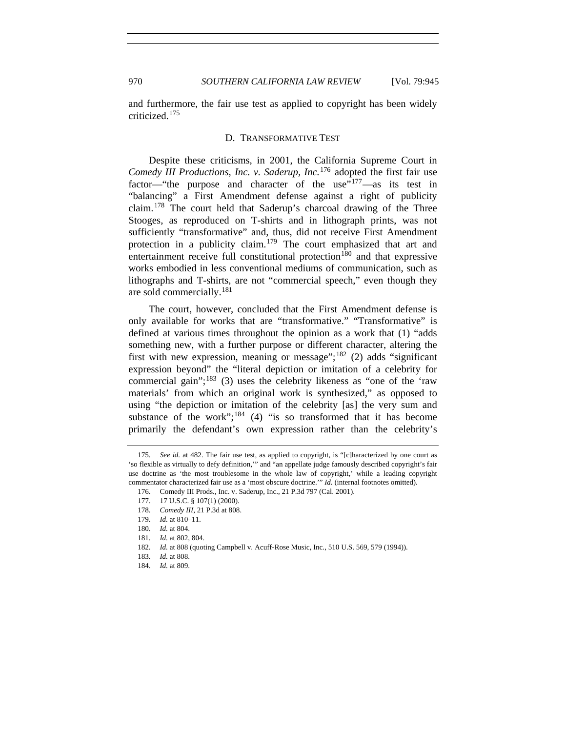and furthermore, the fair use test as applied to copyright has been widely criticized.[175](#page-25-0)

#### D. TRANSFORMATIVE TEST

Despite these criticisms, in 2001, the California Supreme Court in *Comedy III Productions, Inc. v. Saderup, Inc.*[176](#page-25-1) adopted the first fair use factor—"the purpose and character of the use  $v<sup>177</sup>$  $v<sup>177</sup>$  $v<sup>177</sup>$ —as its test in "balancing" a First Amendment defense against a right of publicity claim.[178](#page-25-3) The court held that Saderup's charcoal drawing of the Three Stooges, as reproduced on T-shirts and in lithograph prints, was not sufficiently "transformative" and, thus, did not receive First Amendment protection in a publicity claim.[179](#page-25-4) The court emphasized that art and entertainment receive full constitutional protection<sup>[180](#page-25-5)</sup> and that expressive works embodied in less conventional mediums of communication, such as lithographs and T-shirts, are not "commercial speech," even though they are sold commercially.<sup>[181](#page-25-6)</sup>

The court, however, concluded that the First Amendment defense is only available for works that are "transformative." "Transformative" is defined at various times throughout the opinion as a work that (1) "adds something new, with a further purpose or different character, altering the first with new expression, meaning or message";<sup>[182](#page-25-7)</sup> (2) adds "significant expression beyond" the "literal depiction or imitation of a celebrity for commercial gain";<sup>[183](#page-25-8)</sup> (3) uses the celebrity likeness as "one of the 'raw materials' from which an original work is synthesized," as opposed to using "the depiction or imitation of the celebrity [as] the very sum and substance of the work";<sup>[184](#page-25-9)</sup> (4) "is so transformed that it has become primarily the defendant's own expression rather than the celebrity's

<span id="page-25-2"></span><span id="page-25-1"></span><span id="page-25-0"></span><sup>175</sup>*. See id.* at 482. The fair use test, as applied to copyright, is "[c]haracterized by one court as 'so flexible as virtually to defy definition,'" and "an appellate judge famously described copyright's fair use doctrine as 'the most troublesome in the whole law of copyright,' while a leading copyright commentator characterized fair use as a 'most obscure doctrine.'" *Id*. (internal footnotes omitted).

 <sup>176.</sup> Comedy III Prods., Inc. v. Saderup, Inc., 21 P.3d 797 (Cal. 2001).

 <sup>177. 17</sup> U.S.C. § 107(1) (2000).

<span id="page-25-3"></span><sup>178</sup>*. Comedy III*, 21 P.3d at 808.

<span id="page-25-4"></span><sup>179</sup>*. Id.* at 810–11.

<span id="page-25-5"></span><sup>180</sup>*. Id.* at 804.

<span id="page-25-6"></span><sup>181</sup>*. Id.* at 802, 804.

<span id="page-25-7"></span><sup>182</sup>*. Id.* at 808 (quoting Campbell v. Acuff-Rose Music, Inc., 510 U.S. 569, 579 (1994)).

<span id="page-25-8"></span><sup>183</sup>*. Id.* at 808.

<span id="page-25-9"></span><sup>184</sup>*. Id.* at 809.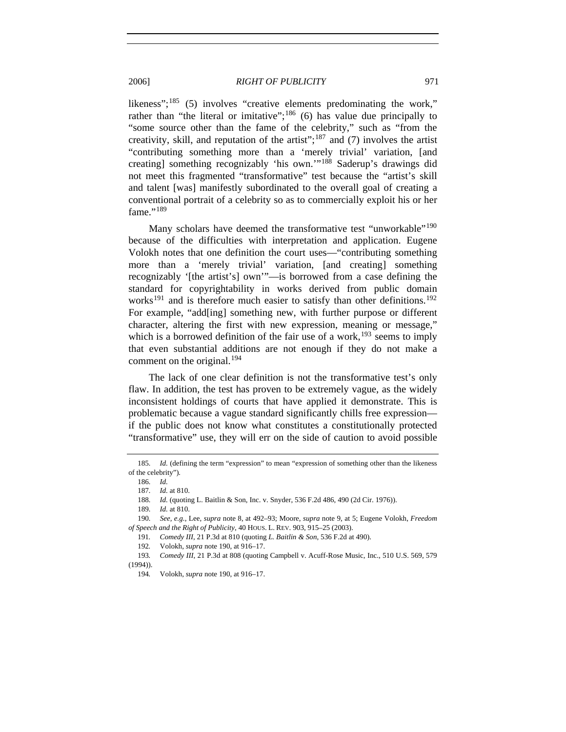likeness";<sup>[185](#page-26-0)</sup> (5) involves "creative elements predominating the work," rather than "the literal or imitative";<sup>[186](#page-26-1)</sup> (6) has value due principally to "some source other than the fame of the celebrity," such as "from the creativity, skill, and reputation of the artist";<sup>[187](#page-26-2)</sup> and (7) involves the artist "contributing something more than a 'merely trivial' variation, [and creating] something recognizably 'his own.'"[188](#page-26-3) Saderup's drawings did not meet this fragmented "transformative" test because the "artist's skill and talent [was] manifestly subordinated to the overall goal of creating a conventional portrait of a celebrity so as to commercially exploit his or her fame."<sup>[189](#page-26-4)</sup>

Many scholars have deemed the transformative test "unworkable"<sup>[190](#page-26-5)</sup> because of the difficulties with interpretation and application. Eugene Volokh notes that one definition the court uses—"contributing something more than a 'merely trivial' variation, [and creating] something recognizably '[the artist's] own'"—is borrowed from a case defining the standard for copyrightability in works derived from public domain works<sup>[191](#page-26-6)</sup> and is therefore much easier to satisfy than other definitions.<sup>[192](#page-26-7)</sup> For example, "add[ing] something new, with further purpose or different character, altering the first with new expression, meaning or message," which is a borrowed definition of the fair use of a work,<sup>[193](#page-26-8)</sup> seems to imply that even substantial additions are not enough if they do not make a comment on the original. $194$ 

The lack of one clear definition is not the transformative test's only flaw. In addition, the test has proven to be extremely vague, as the widely inconsistent holdings of courts that have applied it demonstrate. This is problematic because a vague standard significantly chills free expression if the public does not know what constitutes a constitutionally protected "transformative" use, they will err on the side of caution to avoid possible

<span id="page-26-2"></span><span id="page-26-1"></span><span id="page-26-0"></span><sup>185</sup>*. Id.* (defining the term "expression" to mean "expression of something other than the likeness of the celebrity")*.*

<sup>186</sup>*. Id.*

<sup>187</sup>*. Id.* at 810.

<sup>188</sup>*. Id.* (quoting L. Baitlin & Son, Inc. v. Snyder, 536 F.2d 486, 490 (2d Cir. 1976)).

<sup>189</sup>*. Id.* at 810.

<span id="page-26-6"></span><span id="page-26-5"></span><span id="page-26-4"></span><span id="page-26-3"></span><sup>190</sup>*. See, e.g.*, Lee, *supra* note 8, at 492–93; Moore, *supra* note 9, at 5; Eugene Volokh, *Freedom of Speech and the Right of Publicity*, 40 HOUS. L. REV. 903, 915–25 (2003).

<sup>191</sup>*. Comedy III*, 21 P.3d at 810 (quoting *L. Baitlin & Son*, 536 F.2d at 490).

<sup>192</sup>*.* Volokh, *supra* note 190, at 916–17.

<span id="page-26-9"></span><span id="page-26-8"></span><span id="page-26-7"></span><sup>193</sup>*. Comedy III*, 21 P.3d at 808 (quoting Campbell v. Acuff-Rose Music, Inc., 510 U.S. 569, 579 (1994)).

<sup>194</sup>*.* Volokh, *supra* note 190, at 916–17.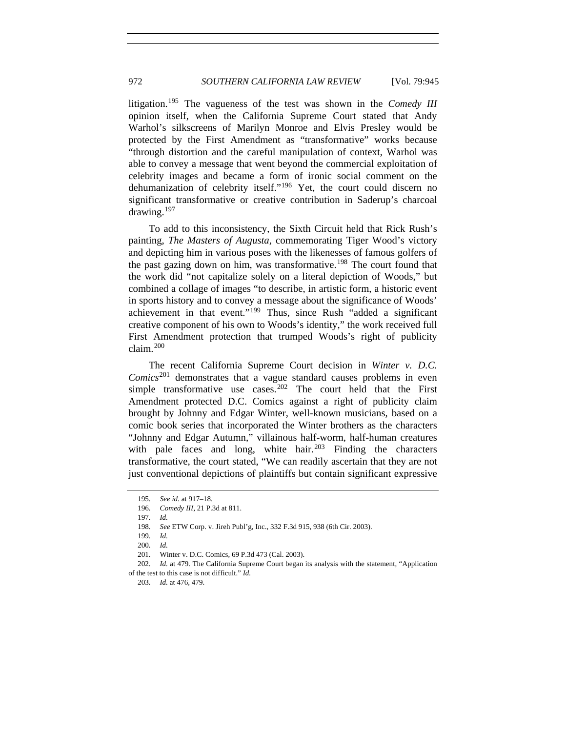litigation.[195](#page-27-0) The vagueness of the test was shown in the *Comedy III* opinion itself, when the California Supreme Court stated that Andy Warhol's silkscreens of Marilyn Monroe and Elvis Presley would be protected by the First Amendment as "transformative" works because "through distortion and the careful manipulation of context, Warhol was able to convey a message that went beyond the commercial exploitation of celebrity images and became a form of ironic social comment on the dehumanization of celebrity itself."[196](#page-27-1) Yet, the court could discern no significant transformative or creative contribution in Saderup's charcoal drawing.[197](#page-27-2)

To add to this inconsistency, the Sixth Circuit held that Rick Rush's painting, *The Masters of Augusta*, commemorating Tiger Wood's victory and depicting him in various poses with the likenesses of famous golfers of the past gazing down on him, was transformative.<sup>[198](#page-27-3)</sup> The court found that the work did "not capitalize solely on a literal depiction of Woods," but combined a collage of images "to describe, in artistic form, a historic event in sports history and to convey a message about the significance of Woods' achievement in that event."<sup>[199](#page-27-4)</sup> Thus, since Rush "added a significant creative component of his own to Woods's identity," the work received full First Amendment protection that trumped Woods's right of publicity claim.[200](#page-27-5)

The recent California Supreme Court decision in *Winter v. D.C. Comics*[201](#page-27-6) demonstrates that a vague standard causes problems in even simple transformative use cases.<sup>[202](#page-27-7)</sup> The court held that the First Amendment protected D.C. Comics against a right of publicity claim brought by Johnny and Edgar Winter, well-known musicians, based on a comic book series that incorporated the Winter brothers as the characters "Johnny and Edgar Autumn," villainous half-worm, half-human creatures with pale faces and long, white hair.<sup>[203](#page-27-8)</sup> Finding the characters transformative, the court stated, "We can readily ascertain that they are not just conventional depictions of plaintiffs but contain significant expressive

<span id="page-27-0"></span><sup>195</sup>*. See id.* at 917–18.

<sup>196</sup>*. Comedy III*, 21 P.3d at 811.

<sup>197</sup>*. Id.*

<span id="page-27-2"></span><span id="page-27-1"></span><sup>198</sup>*. See* ETW Corp. v. Jireh Publ'g, Inc., 332 F.3d 915, 938 (6th Cir. 2003).

<sup>199</sup>*. Id.*

<sup>200</sup>*. Id.*

 <sup>201.</sup> Winter v. D.C. Comics, 69 P.3d 473 (Cal. 2003).

<span id="page-27-8"></span><span id="page-27-7"></span><span id="page-27-6"></span><span id="page-27-5"></span><span id="page-27-4"></span><span id="page-27-3"></span><sup>202</sup>*. Id.* at 479. The California Supreme Court began its analysis with the statement, "Application of the test to this case is not difficult." *Id.*

<sup>203</sup>*. Id.* at 476, 479.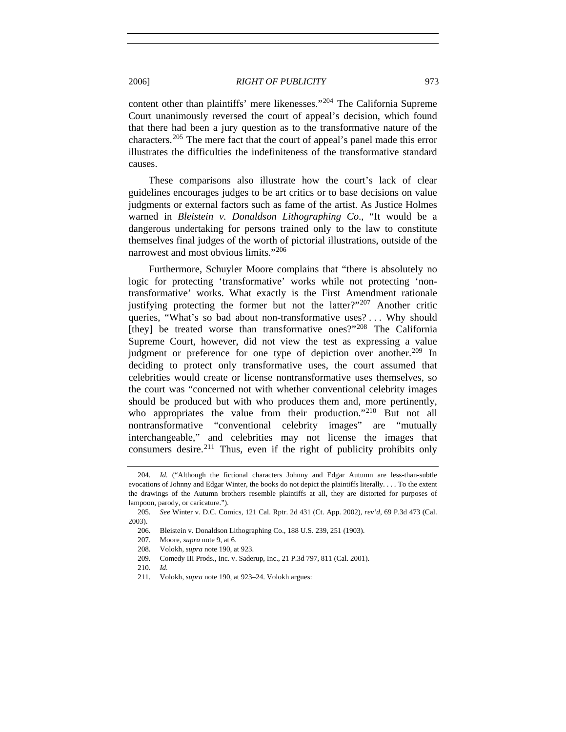content other than plaintiffs' mere likenesses."[204](#page-28-0) The California Supreme Court unanimously reversed the court of appeal's decision, which found that there had been a jury question as to the transformative nature of the characters.<sup>[205](#page-28-1)</sup> The mere fact that the court of appeal's panel made this error illustrates the difficulties the indefiniteness of the transformative standard causes.

These comparisons also illustrate how the court's lack of clear guidelines encourages judges to be art critics or to base decisions on value judgments or external factors such as fame of the artist. As Justice Holmes warned in *Bleistein v. Donaldson Lithographing Co*., "It would be a dangerous undertaking for persons trained only to the law to constitute themselves final judges of the worth of pictorial illustrations, outside of the narrowest and most obvious limits."[206](#page-28-2)

Furthermore, Schuyler Moore complains that "there is absolutely no logic for protecting 'transformative' works while not protecting 'nontransformative' works. What exactly is the First Amendment rationale justifying protecting the former but not the latter?"<sup>[207](#page-28-3)</sup> Another critic queries, "What's so bad about non-transformative uses? . . . Why should [they] be treated worse than transformative ones?"<sup>[208](#page-28-4)</sup> The California Supreme Court, however, did not view the test as expressing a value judgment or preference for one type of depiction over another.<sup>[209](#page-28-5)</sup> In deciding to protect only transformative uses, the court assumed that celebrities would create or license nontransformative uses themselves, so the court was "concerned not with whether conventional celebrity images should be produced but with who produces them and, more pertinently, who appropriates the value from their production."<sup>[210](#page-28-6)</sup> But not all nontransformative "conventional celebrity images" are "mutually interchangeable," and celebrities may not license the images that consumers desire.[211](#page-28-7) Thus, even if the right of publicity prohibits only

<span id="page-28-0"></span><sup>204</sup>*. Id.* ("Although the fictional characters Johnny and Edgar Autumn are less-than-subtle evocations of Johnny and Edgar Winter, the books do not depict the plaintiffs literally. . . . To the extent the drawings of the Autumn brothers resemble plaintiffs at all, they are distorted for purposes of lampoon, parody, or caricature.").

<span id="page-28-5"></span><span id="page-28-4"></span><span id="page-28-3"></span><span id="page-28-2"></span><span id="page-28-1"></span><sup>205</sup>*. See* Winter v. D.C. Comics, 121 Cal. Rptr. 2d 431 (Ct. App. 2002), *rev'd*, 69 P.3d 473 (Cal. 2003).

 <sup>206.</sup> Bleistein v. Donaldson Lithographing Co., 188 U.S. 239, 251 (1903).

 <sup>207.</sup> Moore, *supra* note 9, at 6.

 <sup>208.</sup> Volokh, *supra* note 190, at 923.

<sup>209</sup>*.* Comedy III Prods., Inc. v. Saderup, Inc., 21 P.3d 797, 811 (Cal. 2001).

<sup>210</sup>*. Id.*

<span id="page-28-7"></span><span id="page-28-6"></span> <sup>211.</sup> Volokh, *supra* note 190, at 923–24. Volokh argues: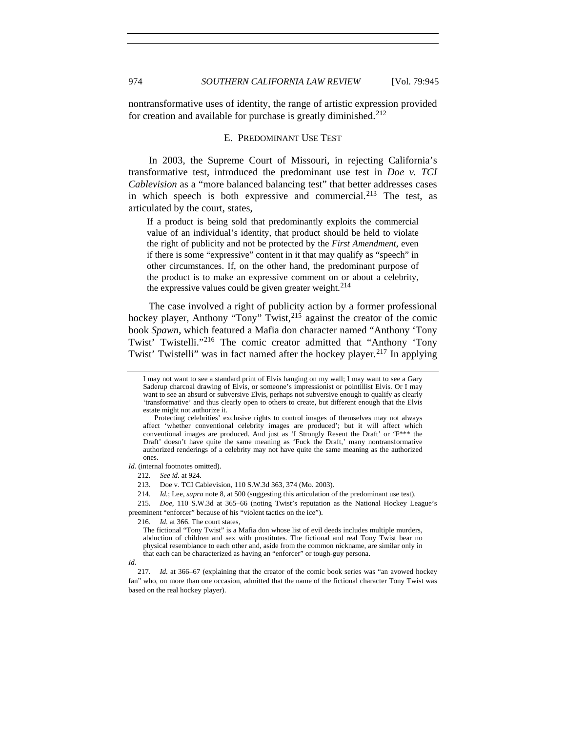nontransformative uses of identity, the range of artistic expression provided for creation and available for purchase is greatly diminished. $212$ 

#### E. PREDOMINANT USE TEST

In 2003, the Supreme Court of Missouri, in rejecting California's transformative test, introduced the predominant use test in *Doe v. TCI Cablevision* as a "more balanced balancing test" that better addresses cases in which speech is both expressive and commercial.<sup>[213](#page-29-1)</sup> The test, as articulated by the court, states,

If a product is being sold that predominantly exploits the commercial value of an individual's identity, that product should be held to violate the right of publicity and not be protected by the *First Amendment*, even if there is some "expressive" content in it that may qualify as "speech" in other circumstances. If, on the other hand, the predominant purpose of the product is to make an expressive comment on or about a celebrity, the expressive values could be given greater weight. $2^{14}$ 

The case involved a right of publicity action by a former professional hockey player, Anthony "Tony" Twist,<sup>[215](#page-29-3)</sup> against the creator of the comic book *Spawn*, which featured a Mafia don character named "Anthony 'Tony Twist' Twistelli."[216](#page-29-4) The comic creator admitted that "Anthony 'Tony Twist' Twistelli" was in fact named after the hockey player.<sup>[217](#page-29-5)</sup> In applying

<span id="page-29-1"></span><span id="page-29-0"></span>*Id.* (internal footnotes omitted).

<span id="page-29-4"></span><span id="page-29-3"></span><span id="page-29-2"></span>215*. Doe*, 110 S.W.3d at 365–66 (noting Twist's reputation as the National Hockey League's preeminent "enforcer" because of his "violent tactics on the ice").

216*. Id.* at 366. The court states,

I may not want to see a standard print of Elvis hanging on my wall; I may want to see a Gary Saderup charcoal drawing of Elvis, or someone's impressionist or pointillist Elvis. Or I may want to see an absurd or subversive Elvis, perhaps not subversive enough to qualify as clearly 'transformative' and thus clearly open to others to create, but different enough that the Elvis estate might not authorize it.

Protecting celebrities' exclusive rights to control images of themselves may not always affect 'whether conventional celebrity images are produced'; but it will affect which conventional images are produced. And just as 'I Strongly Resent the Draft' or 'F\*\*\* the Draft' doesn't have quite the same meaning as 'Fuck the Draft,' many nontransformative authorized renderings of a celebrity may not have quite the same meaning as the authorized ones.

<sup>212</sup>*. See id.* at 924.

 <sup>213.</sup> Doe v. TCI Cablevision, 110 S.W.3d 363, 374 (Mo. 2003).

<sup>214</sup>*. Id.*; Lee, *supra* note 8, at 500 (suggesting this articulation of the predominant use test).

The fictional "Tony Twist" is a Mafia don whose list of evil deeds includes multiple murders, abduction of children and sex with prostitutes. The fictional and real Tony Twist bear no physical resemblance to each other and, aside from the common nickname, are similar only in that each can be characterized as having an "enforcer" or tough-guy persona.

*Id.* 

<span id="page-29-5"></span><sup>217</sup>*. Id.* at 366–67 (explaining that the creator of the comic book series was "an avowed hockey fan" who, on more than one occasion, admitted that the name of the fictional character Tony Twist was based on the real hockey player).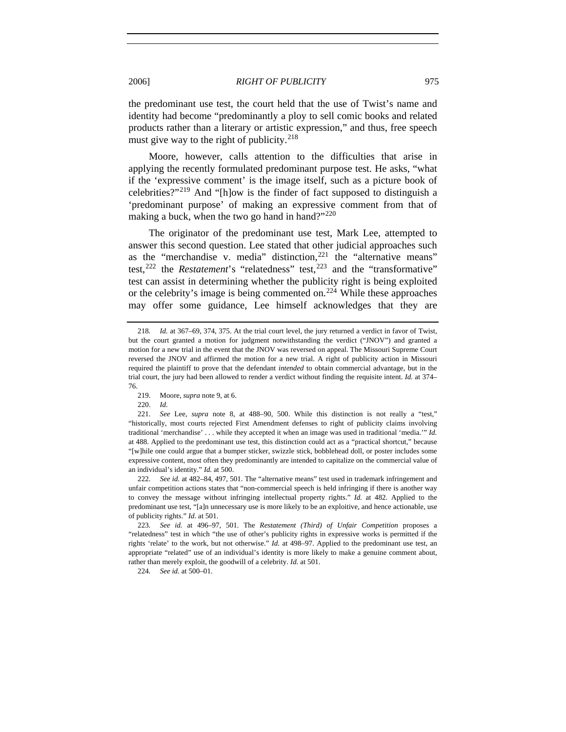the predominant use test, the court held that the use of Twist's name and identity had become "predominantly a ploy to sell comic books and related products rather than a literary or artistic expression," and thus, free speech must give way to the right of publicity.<sup>[218](#page-30-0)</sup>

Moore, however, calls attention to the difficulties that arise in applying the recently formulated predominant purpose test. He asks, "what if the 'expressive comment' is the image itself, such as a picture book of celebrities?"[219](#page-30-1) And "[h]ow is the finder of fact supposed to distinguish a 'predominant purpose' of making an expressive comment from that of making a buck, when the two go hand in hand?" $^{220}$  $^{220}$  $^{220}$ 

The originator of the predominant use test, Mark Lee, attempted to answer this second question. Lee stated that other judicial approaches such as the "merchandise v. media" distinction, $221$  the "alternative means" test,<sup>[222](#page-30-4)</sup> the *Restatement*'s "relatedness" test,<sup>[223](#page-30-5)</sup> and the "transformative" test can assist in determining whether the publicity right is being exploited or the celebrity's image is being commented on.<sup>[224](#page-30-6)</sup> While these approaches may offer some guidance, Lee himself acknowledges that they are

<span id="page-30-0"></span><sup>218</sup>*. Id.* at 367–69, 374, 375. At the trial court level, the jury returned a verdict in favor of Twist, but the court granted a motion for judgment notwithstanding the verdict ("JNOV") and granted a motion for a new trial in the event that the JNOV was reversed on appeal. The Missouri Supreme Court reversed the JNOV and affirmed the motion for a new trial. A right of publicity action in Missouri required the plaintiff to prove that the defendant *intended* to obtain commercial advantage, but in the trial court, the jury had been allowed to render a verdict without finding the requisite intent. *Id.* at 374– 76.

 <sup>219.</sup> Moore, *supra* note 9, at 6.

 <sup>220.</sup> *Id.*

<span id="page-30-3"></span><span id="page-30-2"></span><span id="page-30-1"></span><sup>221</sup>*. See* Lee, *supra* note 8, at 488–90, 500. While this distinction is not really a "test," "historically, most courts rejected First Amendment defenses to right of publicity claims involving traditional 'merchandise' . . . while they accepted it when an image was used in traditional 'media.'" *Id.* at 488. Applied to the predominant use test, this distinction could act as a "practical shortcut," because "[w]hile one could argue that a bumper sticker, swizzle stick, bobblehead doll, or poster includes some expressive content, most often they predominantly are intended to capitalize on the commercial value of an individual's identity." *Id.* at 500.

<span id="page-30-4"></span><sup>222</sup>*. See id.* at 482–84, 497, 501. The "alternative means" test used in trademark infringement and unfair competition actions states that "non-commercial speech is held infringing if there is another way to convey the message without infringing intellectual property rights." *Id.* at 482. Applied to the predominant use test, "[a]n unnecessary use is more likely to be an exploitive, and hence actionable, use of publicity rights." *Id.* at 501.

<span id="page-30-5"></span><sup>223</sup>*. See id.* at 496–97, 501. The *Restatement (Third) of Unfair Competition* proposes a "relatedness" test in which "the use of other's publicity rights in expressive works is permitted if the rights 'relate' to the work, but not otherwise." *Id.* at 498–97. Applied to the predominant use test, an appropriate "related" use of an individual's identity is more likely to make a genuine comment about, rather than merely exploit, the goodwill of a celebrity. *Id.* at 501.

<span id="page-30-6"></span><sup>224</sup>*. See id.* at 500–01.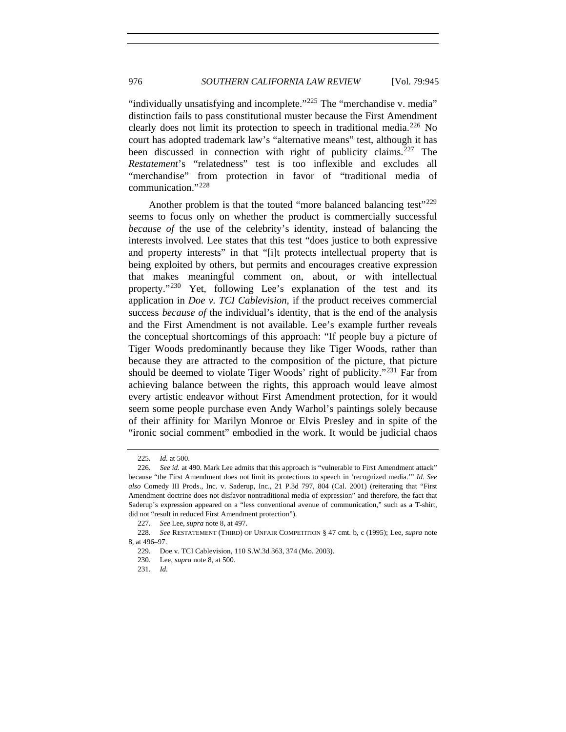"individually unsatisfying and incomplete." $^{225}$  $^{225}$  $^{225}$  The "merchandise v. media" distinction fails to pass constitutional muster because the First Amendment clearly does not limit its protection to speech in traditional media.[226](#page-31-1) No court has adopted trademark law's "alternative means" test, although it has been discussed in connection with right of publicity claims.<sup>[227](#page-31-2)</sup> The *Restatement*'s "relatedness" test is too inflexible and excludes all "merchandise" from protection in favor of "traditional media of communication."[228](#page-31-3)

Another problem is that the touted "more balanced balancing test"<sup>[229](#page-31-4)</sup> seems to focus only on whether the product is commercially successful *because of* the use of the celebrity's identity, instead of balancing the interests involved. Lee states that this test "does justice to both expressive and property interests" in that "[i]t protects intellectual property that is being exploited by others, but permits and encourages creative expression that makes meaningful comment on, about, or with intellectual property."<sup>[230](#page-31-5)</sup> Yet, following Lee's explanation of the test and its application in *Doe v. TCI Cablevision*, if the product receives commercial success *because of* the individual's identity, that is the end of the analysis and the First Amendment is not available. Lee's example further reveals the conceptual shortcomings of this approach: "If people buy a picture of Tiger Woods predominantly because they like Tiger Woods, rather than because they are attracted to the composition of the picture, that picture should be deemed to violate Tiger Woods' right of publicity."<sup>[231](#page-31-6)</sup> Far from achieving balance between the rights, this approach would leave almost every artistic endeavor without First Amendment protection, for it would seem some people purchase even Andy Warhol's paintings solely because of their affinity for Marilyn Monroe or Elvis Presley and in spite of the "ironic social comment" embodied in the work. It would be judicial chaos

<sup>225</sup>*. Id.* at 500.

<span id="page-31-1"></span><span id="page-31-0"></span><sup>226</sup>*. See id.* at 490. Mark Lee admits that this approach is "vulnerable to First Amendment attack" because "the First Amendment does not limit its protections to speech in 'recognized media.'" *Id. See also* Comedy III Prods., Inc. v. Saderup, Inc., 21 P.3d 797, 804 (Cal. 2001) (reiterating that "First Amendment doctrine does not disfavor nontraditional media of expression" and therefore, the fact that Saderup's expression appeared on a "less conventional avenue of communication," such as a T-shirt, did not "result in reduced First Amendment protection").

<sup>227</sup>*. See* Lee, *supra* note 8, at 497.

<span id="page-31-6"></span><span id="page-31-5"></span><span id="page-31-4"></span><span id="page-31-3"></span><span id="page-31-2"></span><sup>228</sup>*. See* RESTATEMENT (THIRD) OF UNFAIR COMPETITION § 47 cmt. b, c (1995); Lee, *supra* note 8, at 496–97.

<sup>229</sup>*.* Doe v. TCI Cablevision, 110 S.W.3d 363, 374 (Mo. 2003).

 <sup>230.</sup> Lee, *supra* note 8, at 500.

<sup>231</sup>*. Id.*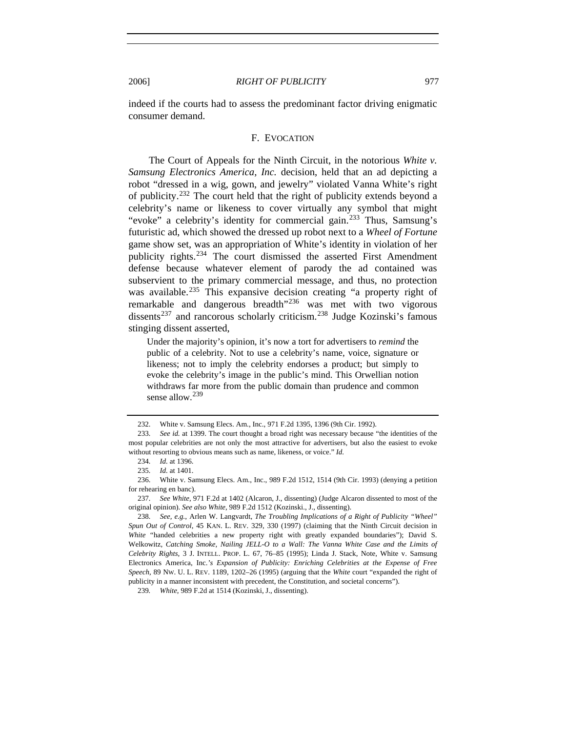indeed if the courts had to assess the predominant factor driving enigmatic consumer demand.

#### F. EVOCATION

The Court of Appeals for the Ninth Circuit, in the notorious *White v. Samsung Electronics America, Inc.* decision, held that an ad depicting a robot "dressed in a wig, gown, and jewelry" violated Vanna White's right of publicity.[232](#page-32-0) The court held that the right of publicity extends beyond a celebrity's name or likeness to cover virtually any symbol that might "evoke" a celebrity's identity for commercial gain.<sup>[233](#page-32-1)</sup> Thus, Samsung's futuristic ad, which showed the dressed up robot next to a *Wheel of Fortune* game show set, was an appropriation of White's identity in violation of her publicity rights.<sup>[234](#page-32-2)</sup> The court dismissed the asserted First Amendment defense because whatever element of parody the ad contained was subservient to the primary commercial message, and thus, no protection was available.<sup>[235](#page-32-3)</sup> This expansive decision creating "a property right of remarkable and dangerous breadth"[236](#page-32-4) was met with two vigorous dissents<sup>[237](#page-32-5)</sup> and rancorous scholarly criticism.<sup>[238](#page-32-6)</sup> Judge Kozinski's famous stinging dissent asserted,

Under the majority's opinion, it's now a tort for advertisers to *remind* the public of a celebrity. Not to use a celebrity's name, voice, signature or likeness; not to imply the celebrity endorses a product; but simply to evoke the celebrity's image in the public's mind. This Orwellian notion withdraws far more from the public domain than prudence and common sense allow.<sup>[239](#page-32-7)</sup>

 <sup>232.</sup> White v. Samsung Elecs. Am., Inc., 971 F.2d 1395, 1396 (9th Cir. 1992).

<span id="page-32-1"></span><span id="page-32-0"></span><sup>233</sup>*. See id.* at 1399. The court thought a broad right was necessary because "the identities of the most popular celebrities are not only the most attractive for advertisers, but also the easiest to evoke without resorting to obvious means such as name, likeness, or voice." *Id.* 

<sup>234</sup>*. Id.* at 1396.

<sup>235</sup>*. Id.* at 1401.

<span id="page-32-4"></span><span id="page-32-3"></span><span id="page-32-2"></span> <sup>236.</sup> White v. Samsung Elecs. Am., Inc., 989 F.2d 1512, 1514 (9th Cir. 1993) (denying a petition for rehearing en banc).

<span id="page-32-5"></span><sup>237</sup>*. See White*, 971 F.2d at 1402 (Alcaron, J., dissenting) (Judge Alcaron dissented to most of the original opinion). *See also White*, 989 F.2d 1512 (Kozinski., J., dissenting).

<span id="page-32-6"></span><sup>238</sup>*. See, e.g.*, Arlen W. Langvardt, *The Troubling Implications of a Right of Publicity "Wheel" Spun Out of Control*, 45 KAN. L. REV. 329, 330 (1997) (claiming that the Ninth Circuit decision in *White* "handed celebrities a new property right with greatly expanded boundaries"); David S. Welkowitz, *Catching Smoke, Nailing JELL-O to a Wall: The Vanna White Case and the Limits of Celebrity Rights*, 3 J. INTELL. PROP. L. 67, 76–85 (1995); Linda J. Stack, Note, White v. Samsung Electronics America, Inc.*'s Expansion of Publicity: Enriching Celebrities at the Expense of Free Speech*, 89 NW. U. L. REV. 1189, 1202–26 (1995) (arguing that the *White* court "expanded the right of publicity in a manner inconsistent with precedent, the Constitution, and societal concerns").

<span id="page-32-7"></span><sup>239</sup>*. White*, 989 F.2d at 1514 (Kozinski, J., dissenting).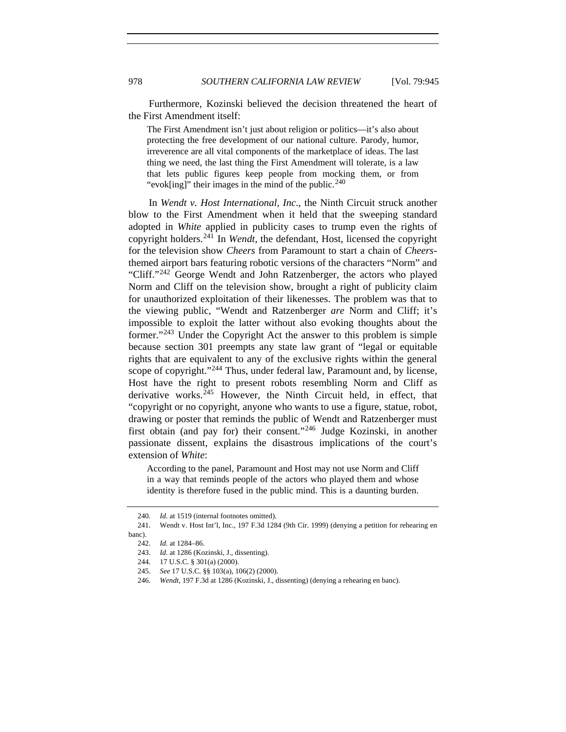Furthermore, Kozinski believed the decision threatened the heart of the First Amendment itself:

The First Amendment isn't just about religion or politics—it's also about protecting the free development of our national culture. Parody, humor, irreverence are all vital components of the marketplace of ideas. The last thing we need, the last thing the First Amendment will tolerate, is a law that lets public figures keep people from mocking them, or from "evok[ing]" their images in the mind of the public.  $240$ 

In *Wendt v. Host International, Inc*., the Ninth Circuit struck another blow to the First Amendment when it held that the sweeping standard adopted in *White* applied in publicity cases to trump even the rights of copyright holders.[241](#page-33-1) In *Wendt*, the defendant, Host, licensed the copyright for the television show *Cheers* from Paramount to start a chain of *Cheers*themed airport bars featuring robotic versions of the characters "Norm" and "Cliff."[242](#page-33-2) George Wendt and John Ratzenberger, the actors who played Norm and Cliff on the television show, brought a right of publicity claim for unauthorized exploitation of their likenesses. The problem was that to the viewing public, "Wendt and Ratzenberger *are* Norm and Cliff; it's impossible to exploit the latter without also evoking thoughts about the former."[243](#page-33-3) Under the Copyright Act the answer to this problem is simple because section 301 preempts any state law grant of "legal or equitable rights that are equivalent to any of the exclusive rights within the general scope of copyright."<sup>[244](#page-33-4)</sup> Thus, under federal law, Paramount and, by license, Host have the right to present robots resembling Norm and Cliff as derivative works. $245$  However, the Ninth Circuit held, in effect, that "copyright or no copyright, anyone who wants to use a figure, statue, robot, drawing or poster that reminds the public of Wendt and Ratzenberger must first obtain (and pay for) their consent."[246](#page-33-6) Judge Kozinski, in another passionate dissent, explains the disastrous implications of the court's extension of *White*:

According to the panel, Paramount and Host may not use Norm and Cliff in a way that reminds people of the actors who played them and whose identity is therefore fused in the public mind. This is a daunting burden.

<sup>240</sup>*. Id.* at 1519 (internal footnotes omitted).

<span id="page-33-4"></span><span id="page-33-3"></span><span id="page-33-2"></span><span id="page-33-1"></span><span id="page-33-0"></span> <sup>241.</sup> Wendt v. Host Int'l, Inc., 197 F.3d 1284 (9th Cir. 1999) (denying a petition for rehearing en banc).

 <sup>242.</sup> *Id.* at 1284–86.

 <sup>243.</sup> *Id.* at 1286 (Kozinski, J., dissenting).

 <sup>244. 17</sup> U.S.C. § 301(a) (2000).

 <sup>245.</sup> *See* 17 U.S.C. §§ 103(a), 106(2) (2000).

<span id="page-33-6"></span><span id="page-33-5"></span> <sup>246.</sup> *Wendt*, 197 F.3d at 1286 (Kozinski, J., dissenting) (denying a rehearing en banc).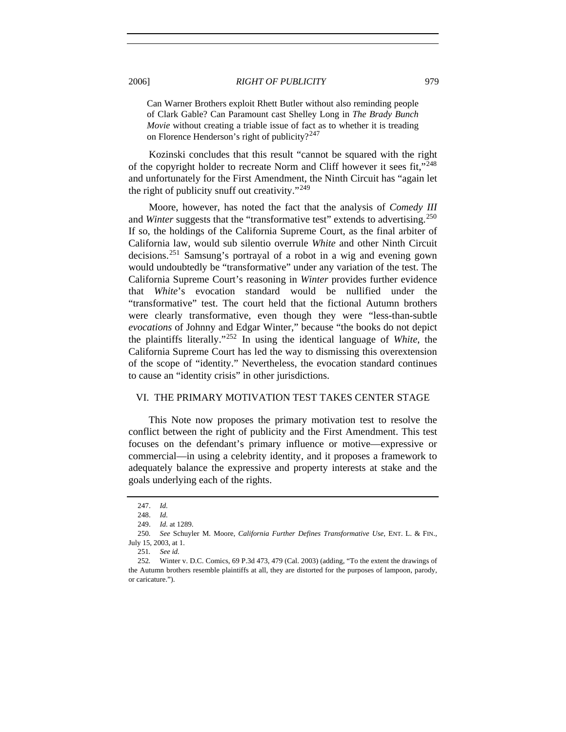Can Warner Brothers exploit Rhett Butler without also reminding people of Clark Gable? Can Paramount cast Shelley Long in *The Brady Bunch Movie* without creating a triable issue of fact as to whether it is treading on Florence Henderson's right of publicity?<sup>[247](#page-34-0)</sup>

Kozinski concludes that this result "cannot be squared with the right of the copyright holder to recreate Norm and Cliff however it sees fit,"[248](#page-34-1) and unfortunately for the First Amendment, the Ninth Circuit has "again let the right of publicity snuff out creativity."<sup>[249](#page-34-2)</sup>

Moore, however, has noted the fact that the analysis of *Comedy III*  and *Winter* suggests that the "transformative test" extends to advertising.<sup>[250](#page-34-3)</sup> If so, the holdings of the California Supreme Court, as the final arbiter of California law, would sub silentio overrule *White* and other Ninth Circuit decisions.[251](#page-34-4) Samsung's portrayal of a robot in a wig and evening gown would undoubtedly be "transformative" under any variation of the test. The California Supreme Court's reasoning in *Winter* provides further evidence that *White*'s evocation standard would be nullified under the "transformative" test. The court held that the fictional Autumn brothers were clearly transformative, even though they were "less-than-subtle *evocations* of Johnny and Edgar Winter," because "the books do not depict the plaintiffs literally."[252](#page-34-5) In using the identical language of *White*, the California Supreme Court has led the way to dismissing this overextension of the scope of "identity." Nevertheless, the evocation standard continues to cause an "identity crisis" in other jurisdictions.

## VI. THE PRIMARY MOTIVATION TEST TAKES CENTER STAGE

This Note now proposes the primary motivation test to resolve the conflict between the right of publicity and the First Amendment. This test focuses on the defendant's primary influence or motive—expressive or commercial—in using a celebrity identity, and it proposes a framework to adequately balance the expressive and property interests at stake and the goals underlying each of the rights.

 <sup>247.</sup> *Id.*

 <sup>248.</sup> *Id.*

 <sup>249.</sup> *Id.* at 1289.

<span id="page-34-4"></span><span id="page-34-3"></span><span id="page-34-2"></span><span id="page-34-1"></span><span id="page-34-0"></span><sup>250</sup>*. See* Schuyler M. Moore, *California Further Defines Transformative Use*, ENT. L. & FIN., July 15, 2003, at 1.

<sup>251</sup>*. See id.*

<span id="page-34-5"></span><sup>252</sup>*.* Winter v. D.C. Comics, 69 P.3d 473, 479 (Cal. 2003) (adding, "To the extent the drawings of the Autumn brothers resemble plaintiffs at all, they are distorted for the purposes of lampoon, parody, or caricature.").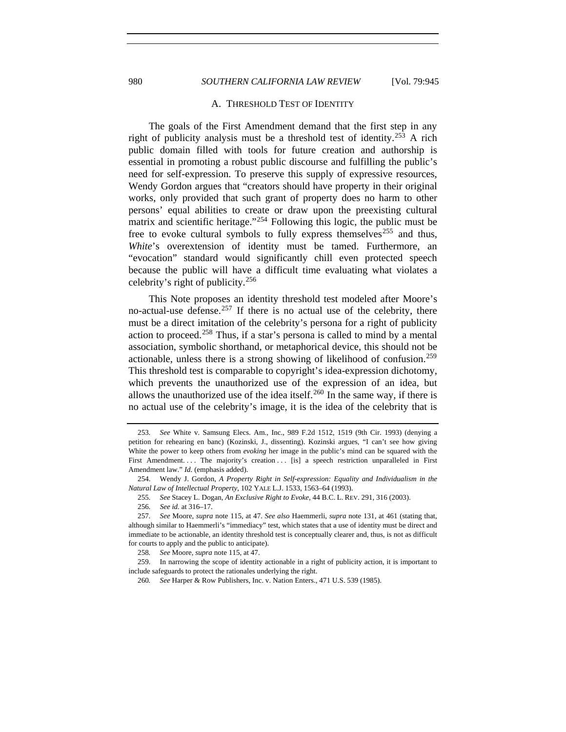## 980 *SOUTHERN CALIFORNIA LAW REVIEW* [Vol. 79:945

#### A. THRESHOLD TEST OF IDENTITY

The goals of the First Amendment demand that the first step in any right of publicity analysis must be a threshold test of identity.<sup>[253](#page-35-0)</sup> A rich public domain filled with tools for future creation and authorship is essential in promoting a robust public discourse and fulfilling the public's need for self-expression. To preserve this supply of expressive resources, Wendy Gordon argues that "creators should have property in their original works, only provided that such grant of property does no harm to other persons' equal abilities to create or draw upon the preexisting cultural matrix and scientific heritage."[254](#page-35-1) Following this logic, the public must be free to evoke cultural symbols to fully express themselves<sup>[255](#page-35-2)</sup> and thus, *White*'s overextension of identity must be tamed. Furthermore, an "evocation" standard would significantly chill even protected speech because the public will have a difficult time evaluating what violates a celebrity's right of publicity.<sup>[256](#page-35-3)</sup>

This Note proposes an identity threshold test modeled after Moore's no-actual-use defense.<sup>[257](#page-35-4)</sup> If there is no actual use of the celebrity, there must be a direct imitation of the celebrity's persona for a right of publicity action to proceed.<sup>[258](#page-35-5)</sup> Thus, if a star's persona is called to mind by a mental association, symbolic shorthand, or metaphorical device, this should not be actionable, unless there is a strong showing of likelihood of confusion.<sup>[259](#page-35-6)</sup> This threshold test is comparable to copyright's idea-expression dichotomy, which prevents the unauthorized use of the expression of an idea, but allows the unauthorized use of the idea itself.<sup>[260](#page-35-7)</sup> In the same way, if there is no actual use of the celebrity's image, it is the idea of the celebrity that is

<span id="page-35-0"></span><sup>253</sup>*. See* White v. Samsung Elecs. Am., Inc., 989 F.2d 1512, 1519 (9th Cir. 1993) (denying a petition for rehearing en banc) (Kozinski, J., dissenting). Kozinski argues, "I can't see how giving White the power to keep others from *evoking* her image in the public's mind can be squared with the First Amendment. . . . The majority's creation . . . [is] a speech restriction unparalleled in First Amendment law." *Id.* (emphasis added).

<span id="page-35-2"></span><span id="page-35-1"></span> <sup>254.</sup> Wendy J. Gordon, *A Property Right in Self-expression: Equality and Individualism in the Natural Law of Intellectual Property*, 102 YALE L.J. 1533, 1563–64 (1993).

<sup>255</sup>*. See* Stacey L. Dogan, *An Exclusive Right to Evoke*, 44 B.C. L. REV. 291, 316 (2003).

<sup>256</sup>*. See id.* at 316–17.

<span id="page-35-4"></span><span id="page-35-3"></span><sup>257</sup>*. See* Moore, *supra* note 115, at 47. *See also* Haemmerli, *supra* note 131, at 461 (stating that, although similar to Haemmerli's "immediacy" test, which states that a use of identity must be direct and immediate to be actionable, an identity threshold test is conceptually clearer and, thus, is not as difficult for courts to apply and the public to anticipate).

<sup>258</sup>*. See* Moore, *supra* note 115, at 47.

<span id="page-35-7"></span><span id="page-35-6"></span><span id="page-35-5"></span> <sup>259.</sup> In narrowing the scope of identity actionable in a right of publicity action, it is important to include safeguards to protect the rationales underlying the right.

<sup>260</sup>*. See* Harper & Row Publishers, Inc. v. Nation Enters., 471 U.S. 539 (1985).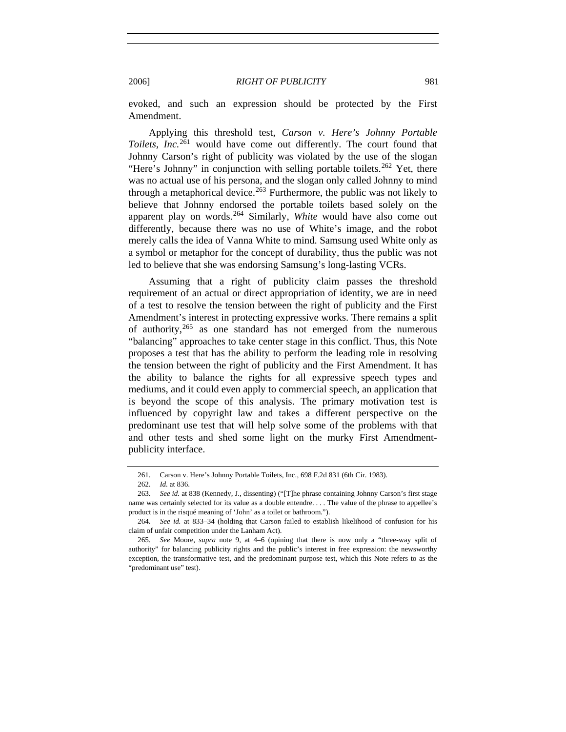evoked, and such an expression should be protected by the First Amendment.

Applying this threshold test, *Carson v. Here's Johnny Portable Toilets, Inc.*[261](#page-36-0) would have come out differently. The court found that Johnny Carson's right of publicity was violated by the use of the slogan "Here's Johnny" in conjunction with selling portable toilets.<sup>[262](#page-36-1)</sup> Yet, there was no actual use of his persona, and the slogan only called Johnny to mind through a metaphorical device.<sup>[263](#page-36-2)</sup> Furthermore, the public was not likely to believe that Johnny endorsed the portable toilets based solely on the apparent play on words.[264](#page-36-3) Similarly, *White* would have also come out differently, because there was no use of White's image, and the robot merely calls the idea of Vanna White to mind. Samsung used White only as a symbol or metaphor for the concept of durability, thus the public was not led to believe that she was endorsing Samsung's long-lasting VCRs.

Assuming that a right of publicity claim passes the threshold requirement of an actual or direct appropriation of identity, we are in need of a test to resolve the tension between the right of publicity and the First Amendment's interest in protecting expressive works. There remains a split of authority,  $265$  as one standard has not emerged from the numerous "balancing" approaches to take center stage in this conflict. Thus, this Note proposes a test that has the ability to perform the leading role in resolving the tension between the right of publicity and the First Amendment. It has the ability to balance the rights for all expressive speech types and mediums, and it could even apply to commercial speech, an application that is beyond the scope of this analysis. The primary motivation test is influenced by copyright law and takes a different perspective on the predominant use test that will help solve some of the problems with that and other tests and shed some light on the murky First Amendmentpublicity interface.

 <sup>261.</sup> Carson v. Here's Johnny Portable Toilets, Inc., 698 F.2d 831 (6th Cir. 1983).

<sup>262</sup>*. Id.* at 836.

<span id="page-36-2"></span><span id="page-36-1"></span><span id="page-36-0"></span><sup>263</sup>*. See id.* at 838 (Kennedy, J., dissenting) ("[T]he phrase containing Johnny Carson's first stage name was certainly selected for its value as a double entendre. . . . The value of the phrase to appellee's product is in the risqué meaning of 'John' as a toilet or bathroom.").

<span id="page-36-3"></span><sup>264</sup>*. See id.* at 833–34 (holding that Carson failed to establish likelihood of confusion for his claim of unfair competition under the Lanham Act).

<span id="page-36-4"></span><sup>265</sup>*. See* Moore, *supra* note 9, at 4–6 (opining that there is now only a "three-way split of authority" for balancing publicity rights and the public's interest in free expression: the newsworthy exception, the transformative test, and the predominant purpose test, which this Note refers to as the "predominant use" test).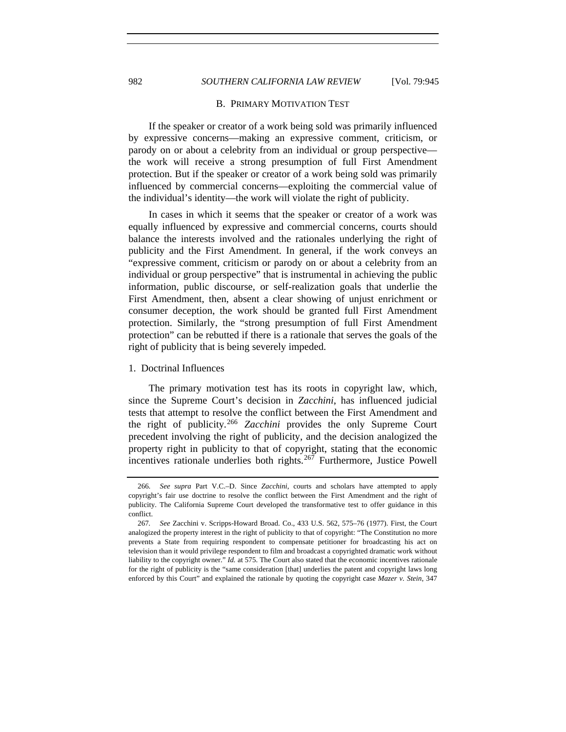# 982 *SOUTHERN CALIFORNIA LAW REVIEW* [Vol. 79:945

#### B. PRIMARY MOTIVATION TEST

If the speaker or creator of a work being sold was primarily influenced by expressive concerns—making an expressive comment, criticism, or parody on or about a celebrity from an individual or group perspective the work will receive a strong presumption of full First Amendment protection. But if the speaker or creator of a work being sold was primarily influenced by commercial concerns—exploiting the commercial value of the individual's identity—the work will violate the right of publicity.

In cases in which it seems that the speaker or creator of a work was equally influenced by expressive and commercial concerns, courts should balance the interests involved and the rationales underlying the right of publicity and the First Amendment. In general, if the work conveys an "expressive comment, criticism or parody on or about a celebrity from an individual or group perspective" that is instrumental in achieving the public information, public discourse, or self-realization goals that underlie the First Amendment, then, absent a clear showing of unjust enrichment or consumer deception, the work should be granted full First Amendment protection. Similarly, the "strong presumption of full First Amendment protection" can be rebutted if there is a rationale that serves the goals of the right of publicity that is being severely impeded.

#### 1. Doctrinal Influences

The primary motivation test has its roots in copyright law, which, since the Supreme Court's decision in *Zacchini*, has influenced judicial tests that attempt to resolve the conflict between the First Amendment and the right of publicity*.* [266](#page-37-0) *Zacchini* provides the only Supreme Court precedent involving the right of publicity, and the decision analogized the property right in publicity to that of copyright, stating that the economic incentives rationale underlies both rights.<sup>[267](#page-37-1)</sup> Furthermore, Justice Powell

<span id="page-37-0"></span><sup>266</sup>*. See supra* Part V.C.–D. Since *Zacchini*, courts and scholars have attempted to apply copyright's fair use doctrine to resolve the conflict between the First Amendment and the right of publicity. The California Supreme Court developed the transformative test to offer guidance in this conflict.

<span id="page-37-1"></span><sup>267</sup>*. See* Zacchini v. Scripps-Howard Broad. Co., 433 U.S. 562, 575–76 (1977). First, the Court analogized the property interest in the right of publicity to that of copyright: "The Constitution no more prevents a State from requiring respondent to compensate petitioner for broadcasting his act on television than it would privilege respondent to film and broadcast a copyrighted dramatic work without liability to the copyright owner." *Id.* at 575. The Court also stated that the economic incentives rationale for the right of publicity is the "same consideration [that] underlies the patent and copyright laws long enforced by this Court" and explained the rationale by quoting the copyright case *Mazer v. Stein*, 347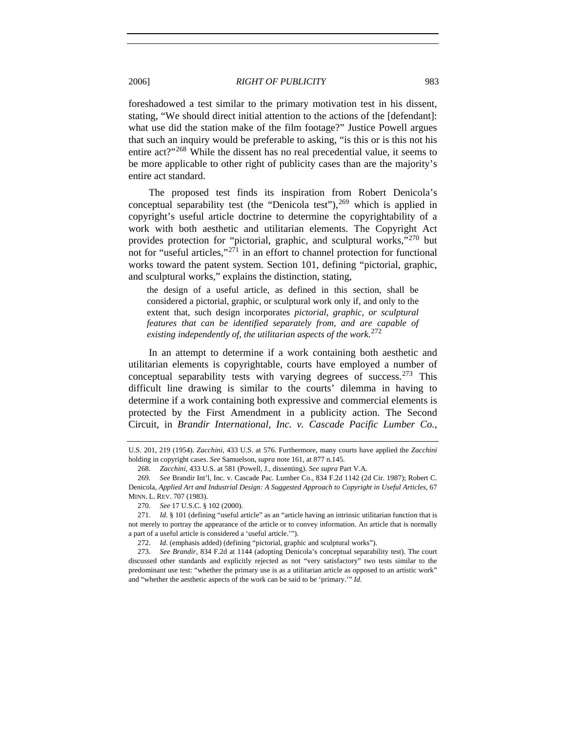foreshadowed a test similar to the primary motivation test in his dissent, stating, "We should direct initial attention to the actions of the [defendant]: what use did the station make of the film footage?" Justice Powell argues that such an inquiry would be preferable to asking, "is this or is this not his entire act?"<sup>[268](#page-38-0)</sup> While the dissent has no real precedential value, it seems to be more applicable to other right of publicity cases than are the majority's entire act standard.

The proposed test finds its inspiration from Robert Denicola's conceptual separability test (the "Denicola test"),  $269$  which is applied in copyright's useful article doctrine to determine the copyrightability of a work with both aesthetic and utilitarian elements. The Copyright Act provides protection for "pictorial, graphic, and sculptural works,"[270](#page-38-2) but not for "useful articles,"[271](#page-38-3) in an effort to channel protection for functional works toward the patent system. Section 101, defining "pictorial, graphic, and sculptural works," explains the distinction, stating,

the design of a useful article, as defined in this section, shall be considered a pictorial, graphic, or sculptural work only if, and only to the extent that, such design incorporates *pictorial, graphic, or sculptural features that can be identified separately from, and are capable of existing independently of, the utilitarian aspects of the work*. [272](#page-38-4)

In an attempt to determine if a work containing both aesthetic and utilitarian elements is copyrightable, courts have employed a number of conceptual separability tests with varying degrees of success.<sup>[273](#page-38-5)</sup> This difficult line drawing is similar to the courts' dilemma in having to determine if a work containing both expressive and commercial elements is protected by the First Amendment in a publicity action. The Second Circuit, in *Brandir International, Inc. v. Cascade Pacific Lumber Co.*,

U.S. 201, 219 (1954). *Zacchini*, 433 U.S. at 576. Furthermore, many courts have applied the *Zacchini* holding in copyright cases. *See* Samuelson, *supra* note 161, at 877 n.145.

<sup>268</sup>*. Zacchini*, 433 U.S. at 581 (Powell, J., dissenting). *See supra* Part V.A.

<span id="page-38-1"></span><span id="page-38-0"></span><sup>269</sup>*. See* Brandir Int'l, Inc. v. Cascade Pac. Lumber Co., 834 F.2d 1142 (2d Cir. 1987); Robert C. Denicola, *Applied Art and Industrial Design: A Suggested Approach to Copyright in Useful Articles*, 67 MINN. L. REV. 707 (1983).

<sup>270</sup>*. See* 17 U.S.C. § 102 (2000).

<span id="page-38-3"></span><span id="page-38-2"></span> <sup>271.</sup> *Id.* § 101 (defining "useful article" as an "article having an intrinsic utilitarian function that is not merely to portray the appearance of the article or to convey information. An article that is normally a part of a useful article is considered a 'useful article.'").

 <sup>272.</sup> *Id.* (emphasis added) (defining "pictorial, graphic and sculptural works").

<span id="page-38-5"></span><span id="page-38-4"></span><sup>273</sup>*. See Brandir*, 834 F.2d at 1144 (adopting Denicola's conceptual separability test). The court discussed other standards and explicitly rejected as not "very satisfactory" two tests similar to the predominant use test: "whether the primary use is as a utilitarian article as opposed to an artistic work" and "whether the aesthetic aspects of the work can be said to be 'primary.'" *Id.*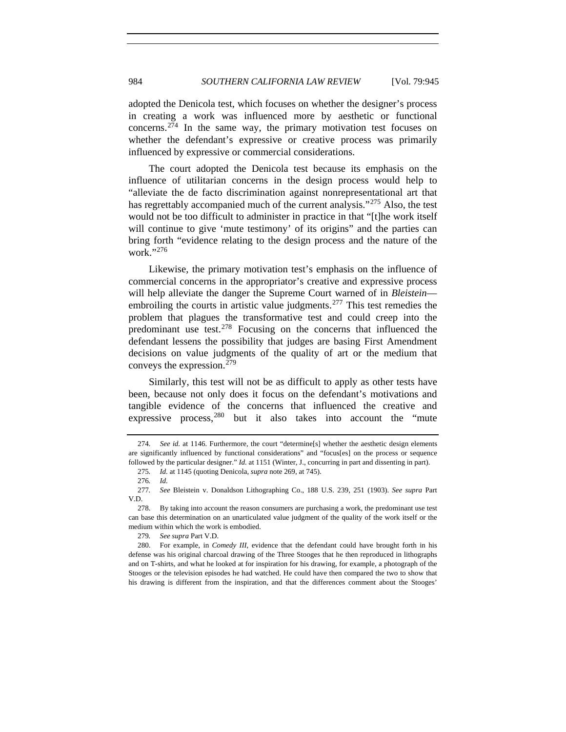adopted the Denicola test, which focuses on whether the designer's process in creating a work was influenced more by aesthetic or functional concerns.[274](#page-39-0) In the same way, the primary motivation test focuses on whether the defendant's expressive or creative process was primarily influenced by expressive or commercial considerations.

The court adopted the Denicola test because its emphasis on the influence of utilitarian concerns in the design process would help to "alleviate the de facto discrimination against nonrepresentational art that has regrettably accompanied much of the current analysis."<sup>[275](#page-39-1)</sup> Also, the test would not be too difficult to administer in practice in that "[t]he work itself will continue to give 'mute testimony' of its origins" and the parties can bring forth "evidence relating to the design process and the nature of the work."[276](#page-39-2)

Likewise, the primary motivation test's emphasis on the influence of commercial concerns in the appropriator's creative and expressive process will help alleviate the danger the Supreme Court warned of in *Bleistein*— embroiling the courts in artistic value judgments.<sup>[277](#page-39-3)</sup> This test remedies the problem that plagues the transformative test and could creep into the predominant use test.<sup>[278](#page-39-4)</sup> Focusing on the concerns that influenced the defendant lessens the possibility that judges are basing First Amendment decisions on value judgments of the quality of art or the medium that conveys the expression.[279](#page-39-5)

Similarly, this test will not be as difficult to apply as other tests have been, because not only does it focus on the defendant's motivations and tangible evidence of the concerns that influenced the creative and expressive process,  $280$  but it also takes into account the "mute"

279*. See supra* Part V.D.

<span id="page-39-0"></span><sup>274</sup>*. See id.* at 1146. Furthermore, the court "determine[s] whether the aesthetic design elements are significantly influenced by functional considerations" and "focus[es] on the process or sequence followed by the particular designer." *Id.* at 1151 (Winter, J., concurring in part and dissenting in part).

<sup>275</sup>*. Id.* at 1145 (quoting Denicola, *supra* note 269, at 745).

<sup>276</sup>*. Id.*

<span id="page-39-3"></span><span id="page-39-2"></span><span id="page-39-1"></span><sup>277</sup>*. See* Bleistein v. Donaldson Lithographing Co., 188 U.S. 239, 251 (1903). *See supra* Part V.D.

<span id="page-39-4"></span> <sup>278.</sup> By taking into account the reason consumers are purchasing a work, the predominant use test can base this determination on an unarticulated value judgment of the quality of the work itself or the medium within which the work is embodied.

<span id="page-39-7"></span><span id="page-39-6"></span><span id="page-39-5"></span> <sup>280.</sup> For example, in *Comedy III*, evidence that the defendant could have brought forth in his defense was his original charcoal drawing of the Three Stooges that he then reproduced in lithographs and on T-shirts, and what he looked at for inspiration for his drawing, for example, a photograph of the Stooges or the television episodes he had watched. He could have then compared the two to show that his drawing is different from the inspiration, and that the differences comment about the Stooges'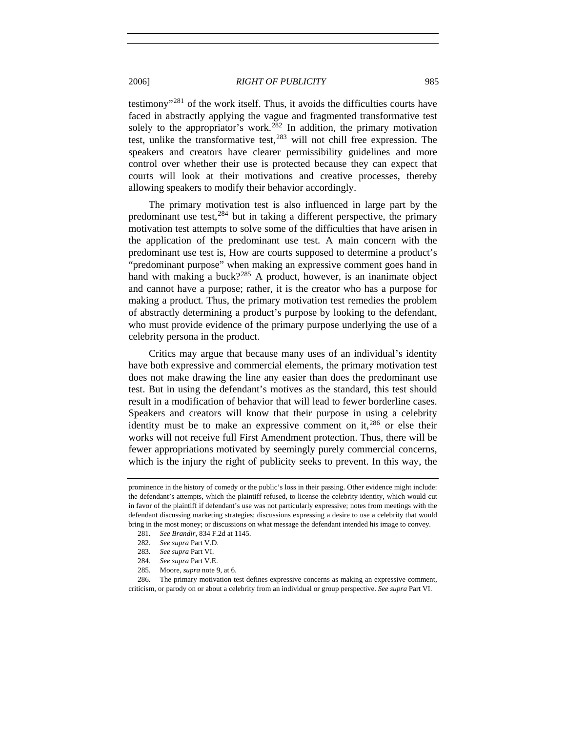testimony"[281](#page-39-7) of the work itself. Thus, it avoids the difficulties courts have faced in abstractly applying the vague and fragmented transformative test solely to the appropriator's work.<sup>[282](#page-40-0)</sup> In addition, the primary motivation test, unlike the transformative test,  $283$  will not chill free expression. The speakers and creators have clearer permissibility guidelines and more control over whether their use is protected because they can expect that courts will look at their motivations and creative processes, thereby allowing speakers to modify their behavior accordingly.

The primary motivation test is also influenced in large part by the predominant use test,  $284$  but in taking a different perspective, the primary motivation test attempts to solve some of the difficulties that have arisen in the application of the predominant use test. A main concern with the predominant use test is, How are courts supposed to determine a product's "predominant purpose" when making an expressive comment goes hand in hand with making a buck?<sup>[285](#page-40-3)</sup> A product, however, is an inanimate object and cannot have a purpose; rather, it is the creator who has a purpose for making a product. Thus, the primary motivation test remedies the problem of abstractly determining a product's purpose by looking to the defendant, who must provide evidence of the primary purpose underlying the use of a celebrity persona in the product.

Critics may argue that because many uses of an individual's identity have both expressive and commercial elements, the primary motivation test does not make drawing the line any easier than does the predominant use test. But in using the defendant's motives as the standard, this test should result in a modification of behavior that will lead to fewer borderline cases. Speakers and creators will know that their purpose in using a celebrity identity must be to make an expressive comment on  $it,^{286}$  $it,^{286}$  $it,^{286}$  or else their works will not receive full First Amendment protection. Thus, there will be fewer appropriations motivated by seemingly purely commercial concerns, which is the injury the right of publicity seeks to prevent. In this way, the

<span id="page-40-4"></span><span id="page-40-3"></span><span id="page-40-2"></span><span id="page-40-1"></span><span id="page-40-0"></span> 286. The primary motivation test defines expressive concerns as making an expressive comment, criticism, or parody on or about a celebrity from an individual or group perspective. *See supra* Part VI.

prominence in the history of comedy or the public's loss in their passing. Other evidence might include: the defendant's attempts, which the plaintiff refused, to license the celebrity identity, which would cut in favor of the plaintiff if defendant's use was not particularly expressive; notes from meetings with the defendant discussing marketing strategies; discussions expressing a desire to use a celebrity that would bring in the most money; or discussions on what message the defendant intended his image to convey.

<sup>281</sup>*. See Brandir*, 834 F.2d at 1145.

<sup>282</sup>*. See supra* Part V.D.

<sup>283</sup>*. See supra* Part VI.

<sup>284</sup>*. See supra* Part V.E.

<sup>285</sup>*.* Moore, *supra* note 9, at 6.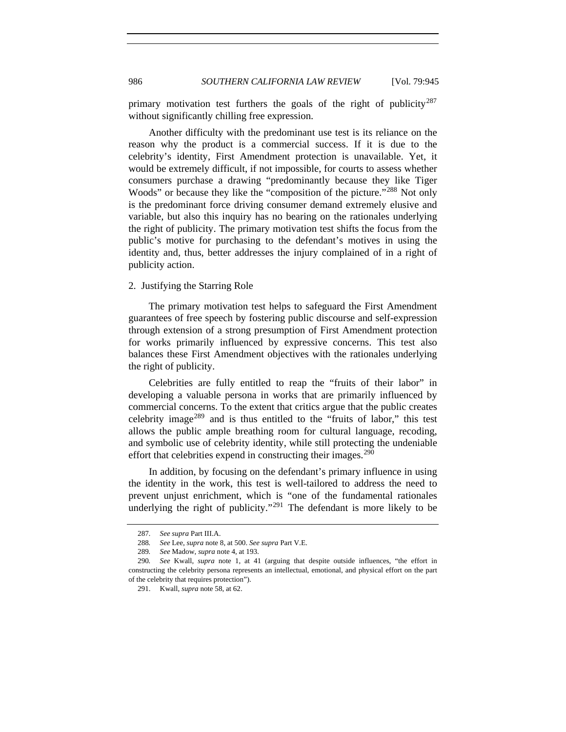primary motivation test furthers the goals of the right of publicity<sup>[287](#page-41-0)</sup> without significantly chilling free expression.

Another difficulty with the predominant use test is its reliance on the reason why the product is a commercial success. If it is due to the celebrity's identity, First Amendment protection is unavailable. Yet, it would be extremely difficult, if not impossible, for courts to assess whether consumers purchase a drawing "predominantly because they like Tiger Woods" or because they like the "composition of the picture."<sup>[288](#page-41-1)</sup> Not only is the predominant force driving consumer demand extremely elusive and variable, but also this inquiry has no bearing on the rationales underlying the right of publicity. The primary motivation test shifts the focus from the public's motive for purchasing to the defendant's motives in using the identity and, thus, better addresses the injury complained of in a right of publicity action.

#### 2. Justifying the Starring Role

The primary motivation test helps to safeguard the First Amendment guarantees of free speech by fostering public discourse and self-expression through extension of a strong presumption of First Amendment protection for works primarily influenced by expressive concerns. This test also balances these First Amendment objectives with the rationales underlying the right of publicity.

Celebrities are fully entitled to reap the "fruits of their labor" in developing a valuable persona in works that are primarily influenced by commercial concerns. To the extent that critics argue that the public creates celebrity image[289](#page-41-2) and is thus entitled to the "fruits of labor," this test allows the public ample breathing room for cultural language, recoding, and symbolic use of celebrity identity, while still protecting the undeniable effort that celebrities expend in constructing their images.<sup>[290](#page-41-3)</sup>

In addition, by focusing on the defendant's primary influence in using the identity in the work, this test is well-tailored to address the need to prevent unjust enrichment, which is "one of the fundamental rationales underlying the right of publicity."<sup>[291](#page-41-4)</sup> The defendant is more likely to be

<sup>287</sup>*. See supra* Part III.A.

<sup>288</sup>*. See* Lee, *supra* note 8, at 500. *See supra* Part V.E.

<sup>289</sup>*. See* Madow, *supra* note 4, at 193.

<span id="page-41-4"></span><span id="page-41-3"></span><span id="page-41-2"></span><span id="page-41-1"></span><span id="page-41-0"></span><sup>290</sup>*. See* Kwall, *supra* note 1, at 41 (arguing that despite outside influences, "the effort in constructing the celebrity persona represents an intellectual, emotional, and physical effort on the part of the celebrity that requires protection").

 <sup>291.</sup> Kwall, *supra* note 58, at 62.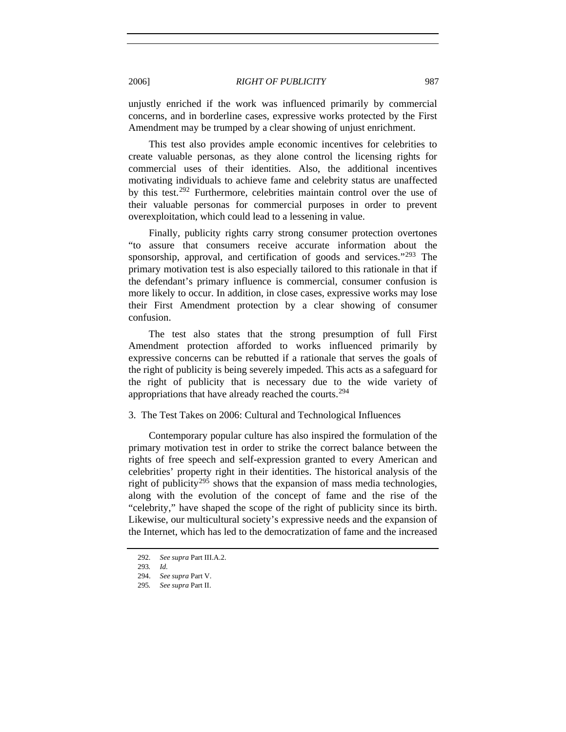unjustly enriched if the work was influenced primarily by commercial concerns, and in borderline cases, expressive works protected by the First Amendment may be trumped by a clear showing of unjust enrichment.

This test also provides ample economic incentives for celebrities to create valuable personas, as they alone control the licensing rights for commercial uses of their identities. Also, the additional incentives motivating individuals to achieve fame and celebrity status are unaffected by this test.<sup>[292](#page-42-0)</sup> Furthermore, celebrities maintain control over the use of their valuable personas for commercial purposes in order to prevent overexploitation, which could lead to a lessening in value.

Finally, publicity rights carry strong consumer protection overtones "to assure that consumers receive accurate information about the sponsorship, approval, and certification of goods and services."<sup>[293](#page-42-1)</sup> The primary motivation test is also especially tailored to this rationale in that if the defendant's primary influence is commercial, consumer confusion is more likely to occur. In addition, in close cases, expressive works may lose their First Amendment protection by a clear showing of consumer confusion.

The test also states that the strong presumption of full First Amendment protection afforded to works influenced primarily by expressive concerns can be rebutted if a rationale that serves the goals of the right of publicity is being severely impeded. This acts as a safeguard for the right of publicity that is necessary due to the wide variety of appropriations that have already reached the courts.[294](#page-42-2)

## 3. The Test Takes on 2006: Cultural and Technological Influences

Contemporary popular culture has also inspired the formulation of the primary motivation test in order to strike the correct balance between the rights of free speech and self-expression granted to every American and celebrities' property right in their identities. The historical analysis of the right of publicity<sup>[295](#page-42-3)</sup> shows that the expansion of mass media technologies, along with the evolution of the concept of fame and the rise of the "celebrity," have shaped the scope of the right of publicity since its birth. Likewise, our multicultural society's expressive needs and the expansion of the Internet, which has led to the democratization of fame and the increased

<sup>292</sup>*. See supra* Part III.A.2.

<span id="page-42-2"></span><span id="page-42-1"></span><span id="page-42-0"></span><sup>293</sup>*. Id.*

 <sup>294.</sup> *See supra* Part V.

<span id="page-42-3"></span><sup>295</sup>*. See supra* Part II.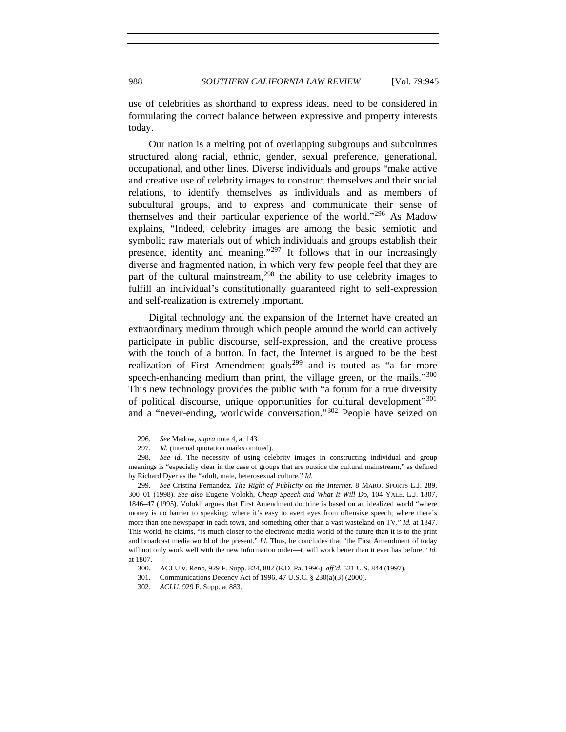use of celebrities as shorthand to express ideas, need to be considered in formulating the correct balance between expressive and property interests today.

Our nation is a melting pot of overlapping subgroups and subcultures structured along racial, ethnic, gender, sexual preference, generational, occupational, and other lines. Diverse individuals and groups "make active and creative use of celebrity images to construct themselves and their social relations, to identify themselves as individuals and as members of subcultural groups, and to express and communicate their sense of themselves and their particular experience of the world."[296](#page-43-0) As Madow explains, "Indeed, celebrity images are among the basic semiotic and symbolic raw materials out of which individuals and groups establish their presence, identity and meaning."[297](#page-43-1) It follows that in our increasingly diverse and fragmented nation, in which very few people feel that they are part of the cultural mainstream,  $298$  the ability to use celebrity images to fulfill an individual's constitutionally guaranteed right to self-expression and self-realization is extremely important.

Digital technology and the expansion of the Internet have created an extraordinary medium through which people around the world can actively participate in public discourse, self-expression, and the creative process with the touch of a button. In fact, the Internet is argued to be the best realization of First Amendment goals<sup>[299](#page-43-3)</sup> and is touted as "a far more speech-enhancing medium than print, the village green, or the mails."<sup>[300](#page-43-4)</sup> This new technology provides the public with "a forum for a true diversity of political discourse, unique opportunities for cultural development"<sup>[301](#page-43-5)</sup> and a "never-ending, worldwide conversation."[302](#page-43-6) People have seized on

<sup>296</sup>*. See* Madow, *supra* note 4, at 143.

<sup>297</sup>*. Id.* (internal quotation marks omitted).

<span id="page-43-2"></span><span id="page-43-1"></span><span id="page-43-0"></span><sup>298</sup>*. See id.* The necessity of using celebrity images in constructing individual and group meanings is "especially clear in the case of groups that are outside the cultural mainstream," as defined by Richard Dyer as the "adult, male, heterosexual culture." *Id.*

<span id="page-43-3"></span><sup>299</sup>*. See* Cristina Fernandez, *The Right of Publicity on the Internet*, 8 MARQ. SPORTS L.J. 289, 300–01 (1998). *See also* Eugene Volokh, *Cheap Speech and What It Will Do*, 104 YALE. L.J. 1807, 1846–47 (1995). Volokh argues that First Amendment doctrine is based on an idealized world "where money is no barrier to speaking; where it's easy to avert eyes from offensive speech; where there's more than one newspaper in each town, and something other than a vast wasteland on TV." *Id.* at 1847. This world, he claims, "is much closer to the electronic media world of the future than it is to the print and broadcast media world of the present." *Id.* Thus, he concludes that "the First Amendment of today will not only work well with the new information order—it will work better than it ever has before." *Id.* at 1807.

 <sup>300.</sup> ACLU v. Reno, 929 F. Supp. 824, 882 (E.D. Pa. 1996), *aff'd*, 521 U.S. 844 (1997).

 <sup>301.</sup> Communications Decency Act of 1996, 47 U.S.C. § 230(a)(3) (2000).

<span id="page-43-6"></span><span id="page-43-5"></span><span id="page-43-4"></span><sup>302</sup>*. ACLU*, 929 F. Supp. at 883.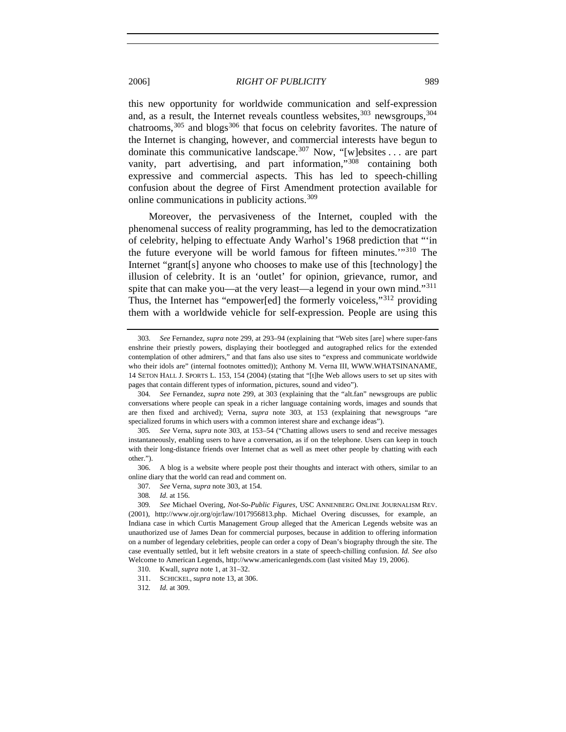this new opportunity for worldwide communication and self-expression and, as a result, the Internet reveals countless websites,  $303$  newsgroups,  $304$ chatrooms,  $305$  and blogs  $306$  that focus on celebrity favorites. The nature of the Internet is changing, however, and commercial interests have begun to dominate this communicative landscape.<sup>[307](#page-44-4)</sup> Now, "[w]ebsites . . . are part vanity, part advertising, and part information,"[308](#page-44-5) containing both expressive and commercial aspects. This has led to speech-chilling confusion about the degree of First Amendment protection available for online communications in publicity actions.[309](#page-44-6)

Moreover, the pervasiveness of the Internet, coupled with the phenomenal success of reality programming, has led to the democratization of celebrity, helping to effectuate Andy Warhol's 1968 prediction that "'in the future everyone will be world famous for fifteen minutes.'"[310](#page-44-7) The Internet "grant[s] anyone who chooses to make use of this [technology] the illusion of celebrity. It is an 'outlet' for opinion, grievance, rumor, and spite that can make you—at the very least—a legend in your own mind."<sup>[311](#page-44-8)</sup> Thus, the Internet has "empower[ed] the formerly voiceless,"<sup>[312](#page-44-9)</sup> providing them with a worldwide vehicle for self-expression. People are using this

<span id="page-44-3"></span> 306. A blog is a website where people post their thoughts and interact with others, similar to an online diary that the world can read and comment on.

307*. See* Verna, *supra* note 303, at 154.

<span id="page-44-9"></span><span id="page-44-8"></span><span id="page-44-7"></span>311. SCHICKEL, *supra* note 13, at 306.

<span id="page-44-0"></span><sup>303</sup>*. See* Fernandez, *supra* note 299, at 293–94 (explaining that "Web sites [are] where super-fans enshrine their priestly powers, displaying their bootlegged and autographed relics for the extended contemplation of other admirers," and that fans also use sites to "express and communicate worldwide who their idols are" (internal footnotes omitted)); Anthony M. Verna III, WWW.WHATSINANAME, 14 SETON HALL J. SPORTS L. 153, 154 (2004) (stating that "[t]he Web allows users to set up sites with pages that contain different types of information, pictures, sound and video").

<span id="page-44-1"></span><sup>304</sup>*. See* Fernandez, *supra* note 299, at 303 (explaining that the "alt.fan" newsgroups are public conversations where people can speak in a richer language containing words, images and sounds that are then fixed and archived); Verna, *supra* note 303, at 153 (explaining that newsgroups "are specialized forums in which users with a common interest share and exchange ideas").

<span id="page-44-2"></span><sup>305</sup>*. See* Verna, *supra* note 303, at 153–54 ("Chatting allows users to send and receive messages instantaneously, enabling users to have a conversation, as if on the telephone. Users can keep in touch with their long-distance friends over Internet chat as well as meet other people by chatting with each other.").

<sup>308</sup>*. Id.* at 156.

<span id="page-44-6"></span><span id="page-44-5"></span><span id="page-44-4"></span><sup>309</sup>*. See* Michael Overing, *Not-So-Public Figures*, USC ANNENBERG ONLINE JOURNALISM REV. (2001), http://www.ojr.org/ojr/law/1017956813.php. Michael Overing discusses, for example, an Indiana case in which Curtis Management Group alleged that the American Legends website was an unauthorized use of James Dean for commercial purposes, because in addition to offering information on a number of legendary celebrities, people can order a copy of Dean's biography through the site. The case eventually settled, but it left website creators in a state of speech-chilling confusion. *Id. See also* Welcome to American Legends, http://www.americanlegends.com (last visited May 19, 2006).

 <sup>310.</sup> Kwall, *supra* note 1, at 31–32.

<sup>312</sup>*. Id.* at 309.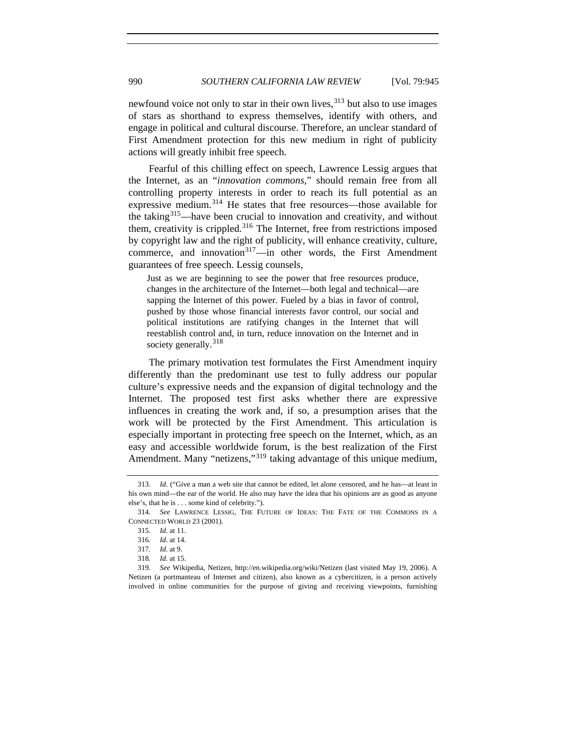newfound voice not only to star in their own lives,<sup>[313](#page-45-0)</sup> but also to use images of stars as shorthand to express themselves, identify with others, and engage in political and cultural discourse. Therefore, an unclear standard of First Amendment protection for this new medium in right of publicity actions will greatly inhibit free speech.

Fearful of this chilling effect on speech, Lawrence Lessig argues that the Internet, as an "*innovation commons*," should remain free from all controlling property interests in order to reach its full potential as an expressive medium.<sup>[314](#page-45-1)</sup> He states that free resources—those available for the taking[315](#page-45-2)—have been crucial to innovation and creativity, and without them, creativity is crippled. $316$  The Internet, free from restrictions imposed by copyright law and the right of publicity, will enhance creativity, culture, commerce, and innovation $317$ —in other words, the First Amendment guarantees of free speech. Lessig counsels,

Just as we are beginning to see the power that free resources produce, changes in the architecture of the Internet—both legal and technical—are sapping the Internet of this power. Fueled by a bias in favor of control, pushed by those whose financial interests favor control, our social and political institutions are ratifying changes in the Internet that will reestablish control and, in turn, reduce innovation on the Internet and in society generally.<sup>[318](#page-45-5)</sup>

The primary motivation test formulates the First Amendment inquiry differently than the predominant use test to fully address our popular culture's expressive needs and the expansion of digital technology and the Internet. The proposed test first asks whether there are expressive influences in creating the work and, if so, a presumption arises that the work will be protected by the First Amendment. This articulation is especially important in protecting free speech on the Internet, which, as an easy and accessible worldwide forum, is the best realization of the First Amendment. Many "netizens,"<sup>[319](#page-45-6)</sup> taking advantage of this unique medium,

<span id="page-45-0"></span><sup>313</sup>*. Id.* ("Give a man a web site that cannot be edited, let alone censored, and he has—at least in his own mind—the ear of the world. He also may have the idea that his opinions are as good as anyone else's, that he is . . . some kind of celebrity.").

<span id="page-45-3"></span><span id="page-45-2"></span><span id="page-45-1"></span> <sup>314.</sup> *See* LAWRENCE LESSIG, THE FUTURE OF IDEAS: THE FATE OF THE COMMONS IN A CONNECTED WORLD 23 (2001).

<sup>315</sup>*. Id.* at 11.

<sup>316</sup>*. Id*. at 14.

<sup>317</sup>*. Id.* at 9.

<sup>318</sup>*. Id.* at 15.

<span id="page-45-6"></span><span id="page-45-5"></span><span id="page-45-4"></span> <sup>319.</sup> *See* Wikipedia, Netizen, http://en.wikipedia.org/wiki/Netizen (last visited May 19, 2006). A Netizen (a [portmanteau](http://en.wikipedia.org/wiki/Portmanteau) of [Internet](http://en.wikipedia.org/wiki/Internet) and [citizen](http://en.wikipedia.org/wiki/Citizen)), also known as a cybercitizen, is a person actively involved in [online](http://en.wikipedia.org/wiki/Online) communities for the purpose of giving and receiving [viewpoints,](http://en.wikipedia.org/wiki/Perspective_%28cognitive%29) furnishing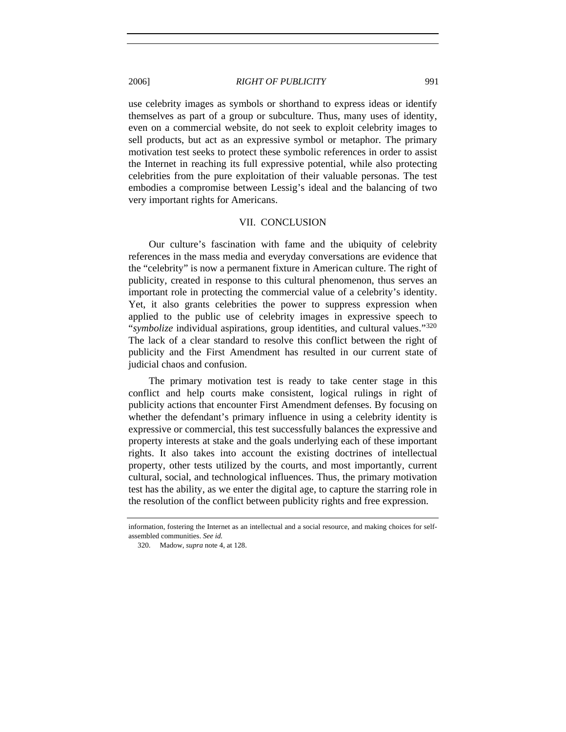use celebrity images as symbols or shorthand to express ideas or identify themselves as part of a group or subculture. Thus, many uses of identity, even on a commercial website, do not seek to exploit celebrity images to sell products, but act as an expressive symbol or metaphor. The primary motivation test seeks to protect these symbolic references in order to assist the Internet in reaching its full expressive potential, while also protecting celebrities from the pure exploitation of their valuable personas. The test embodies a compromise between Lessig's ideal and the balancing of two very important rights for Americans.

#### VII. CONCLUSION

Our culture's fascination with fame and the ubiquity of celebrity references in the mass media and everyday conversations are evidence that the "celebrity" is now a permanent fixture in American culture. The right of publicity, created in response to this cultural phenomenon, thus serves an important role in protecting the commercial value of a celebrity's identity. Yet, it also grants celebrities the power to suppress expression when applied to the public use of celebrity images in expressive speech to "*symbolize* individual aspirations, group identities, and cultural values."[320](#page-46-0) The lack of a clear standard to resolve this conflict between the right of publicity and the First Amendment has resulted in our current state of judicial chaos and confusion.

The primary motivation test is ready to take center stage in this conflict and help courts make consistent, logical rulings in right of publicity actions that encounter First Amendment defenses. By focusing on whether the defendant's primary influence in using a celebrity identity is expressive or commercial, this test successfully balances the expressive and property interests at stake and the goals underlying each of these important rights. It also takes into account the existing doctrines of intellectual property, other tests utilized by the courts, and most importantly, current cultural, social, and technological influences. Thus, the primary motivation test has the ability, as we enter the digital age, to capture the starring role in the resolution of the conflict between publicity rights and free expression.

<span id="page-46-0"></span>[information,](http://en.wikipedia.org/wiki/Information) fostering the Internet as an intellectual and a social resource, and making choices for selfassembled communities. *See id.*

 <sup>320.</sup> Madow, *supra* note 4, at 128.